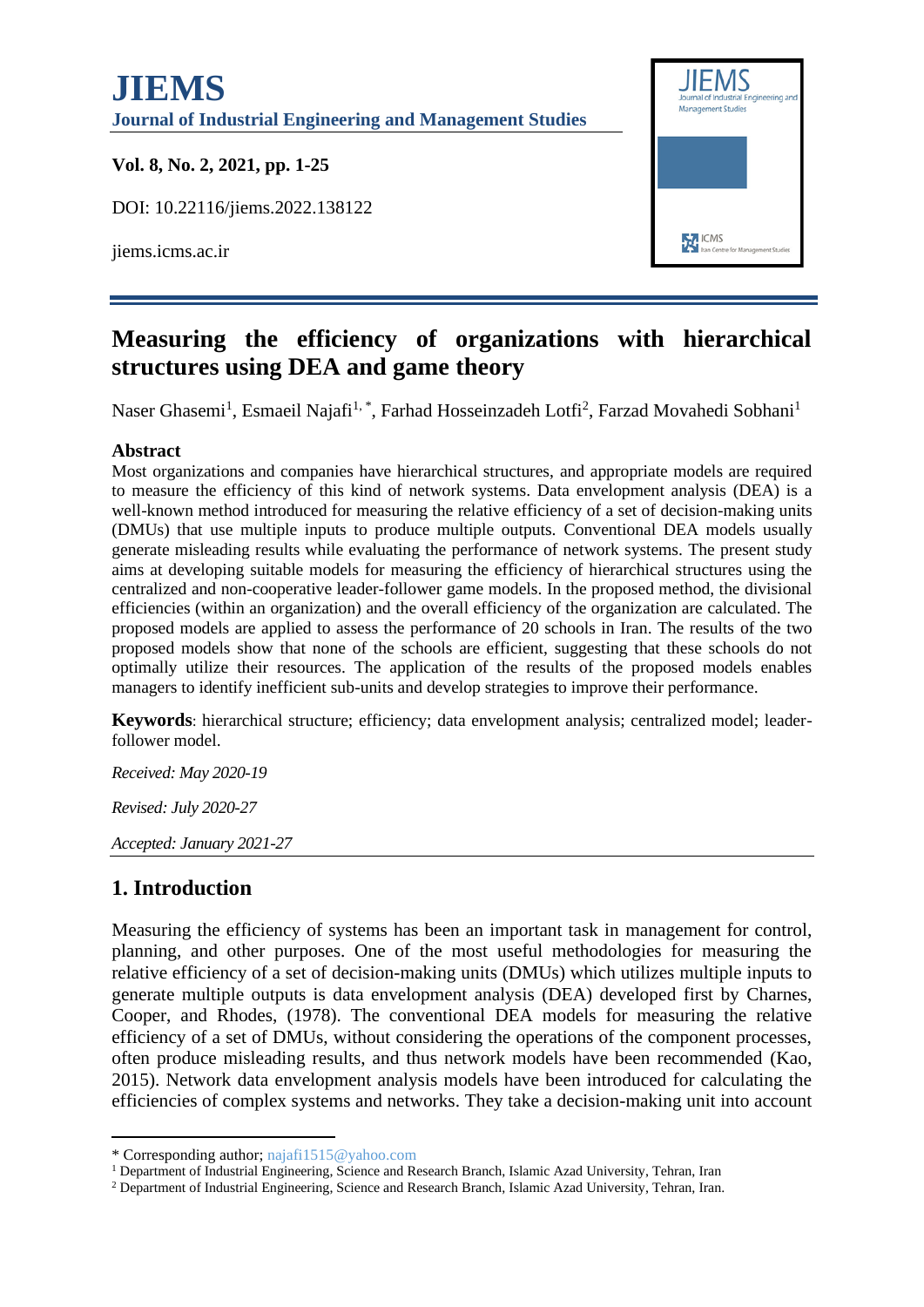# **JIEMS Management Studies Journal of Industrial Engineering and Management Studies Vol. 8, No. 2, 2021, pp. 1-25** DOI: 10.22116/jiems.2022.138122 **EXT** ICMS jiems.icms.ac.ir



# **Measuring the efficiency of organizations with hierarchical structures using DEA and game theory**

Naser Ghasemi<sup>1</sup>, Esmaeil Najafi<sup>1,\*</sup>, Farhad Hosseinzadeh Lotfi<sup>2</sup>, Farzad Movahedi Sobhani<sup>1</sup>

### **Abstract**

Most organizations and companies have hierarchical structures, and appropriate models are required to measure the efficiency of this kind of network systems. Data envelopment analysis (DEA) is a well-known method introduced for measuring the relative efficiency of a set of decision-making units (DMUs) that use multiple inputs to produce multiple outputs. Conventional DEA models usually generate misleading results while evaluating the performance of network systems. The present study aims at developing suitable models for measuring the efficiency of hierarchical structures using the centralized and non-cooperative leader-follower game models. In the proposed method, the divisional efficiencies (within an organization) and the overall efficiency of the organization are calculated. The proposed models are applied to assess the performance of 20 schools in Iran. The results of the two proposed models show that none of the schools are efficient, suggesting that these schools do not optimally utilize their resources. The application of the results of the proposed models enables managers to identify inefficient sub-units and develop strategies to improve their performance.

**Keywords**: hierarchical structure; efficiency; data envelopment analysis; centralized model; leaderfollower model.

*Received: May 2020-19 Revised: July 2020-27*

*Accepted: January 2021-27*

# **1. Introduction**

Measuring the efficiency of systems has been an important task in management for control, planning, and other purposes. One of the most useful methodologies for measuring the relative efficiency of a set of decision-making units (DMUs) which utilizes multiple inputs to generate multiple outputs is data envelopment analysis (DEA) developed first by Charnes, Cooper, and Rhodes, (1978). The conventional DEA models for measuring the relative efficiency of a set of DMUs, without considering the operations of the component processes, often produce misleading results, and thus network models have been recommended (Kao, 2015). Network data envelopment analysis models have been introduced for calculating the efficiencies of complex systems and networks. They take a decision-making unit into account

<sup>\*</sup> Corresponding author; najafi1515@yahoo.com

<sup>&</sup>lt;sup>1</sup> Department of Industrial Engineering, Science and Research Branch, Islamic Azad University, Tehran, Iran

<sup>2</sup> Department of Industrial Engineering, Science and Research Branch, Islamic Azad University, Tehran, Iran.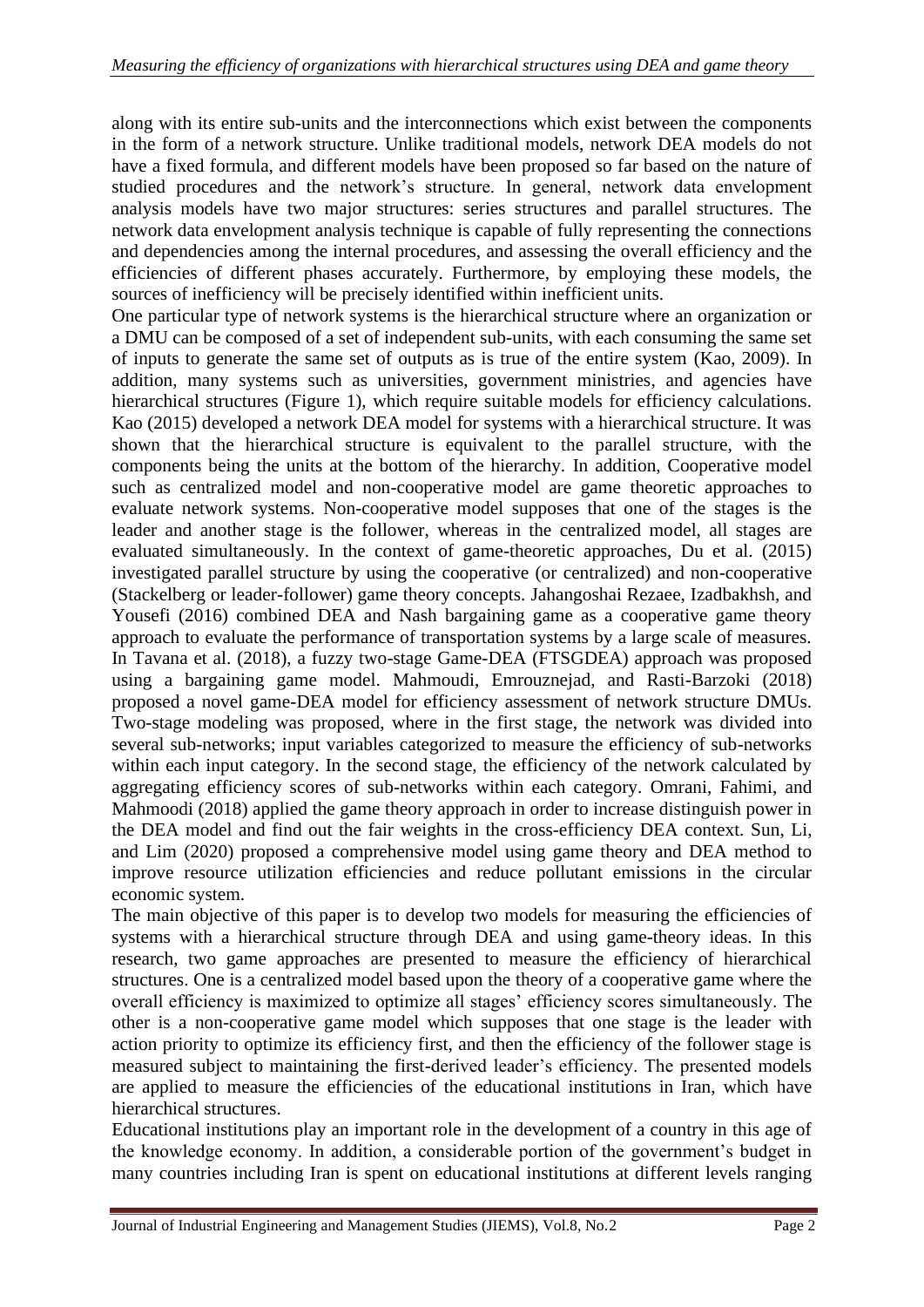along with its entire sub-units and the interconnections which exist between the components in the form of a network structure. Unlike traditional models, network DEA models do not have a fixed formula, and different models have been proposed so far based on the nature of studied procedures and the network's structure. In general, network data envelopment analysis models have two major structures: series structures and parallel structures. The network data envelopment analysis technique is capable of fully representing the connections and dependencies among the internal procedures, and assessing the overall efficiency and the efficiencies of different phases accurately. Furthermore, by employing these models, the sources of inefficiency will be precisely identified within inefficient units.

One particular type of network systems is the hierarchical structure where an organization or a DMU can be composed of a set of independent sub-units, with each consuming the same set of inputs to generate the same set of outputs as is true of the entire system (Kao, 2009). In addition, many systems such as universities, government ministries, and agencies have hierarchical structures (Figure [1\)](#page-2-0), which require suitable models for efficiency calculations. Kao (2015) developed a network DEA model for systems with a hierarchical structure. It was shown that the hierarchical structure is equivalent to the parallel structure, with the components being the units at the bottom of the hierarchy. In addition, Cooperative model such as centralized model and non-cooperative model are game theoretic approaches to evaluate network systems. Non-cooperative model supposes that one of the stages is the leader and another stage is the follower, whereas in the centralized model, all stages are evaluated simultaneously. In the context of game-theoretic approaches, Du et al. (2015) investigated parallel structure by using the cooperative (or centralized) and non-cooperative (Stackelberg or leader-follower) game theory concepts. Jahangoshai Rezaee, Izadbakhsh, and Yousefi (2016) combined DEA and Nash bargaining game as a cooperative game theory approach to evaluate the performance of transportation systems by a large scale of measures. In Tavana et al. (2018), a fuzzy two-stage Game-DEA (FTSGDEA) approach was proposed using a bargaining game model. Mahmoudi, Emrouznejad, and Rasti-Barzoki (2018) proposed a novel game-DEA model for efficiency assessment of network structure DMUs. Two-stage modeling was proposed, where in the first stage, the network was divided into several sub-networks; input variables categorized to measure the efficiency of sub-networks within each input category. In the second stage, the efficiency of the network calculated by aggregating efficiency scores of sub-networks within each category. Omrani, Fahimi, and Mahmoodi (2018) applied the game theory approach in order to increase distinguish power in the DEA model and find out the fair weights in the cross-efficiency DEA context. Sun, Li, and Lim (2020) proposed a comprehensive model using game theory and DEA method to improve resource utilization efficiencies and reduce pollutant emissions in the circular economic system.

The main objective of this paper is to develop two models for measuring the efficiencies of systems with a hierarchical structure through DEA and using game-theory ideas. In this research, two game approaches are presented to measure the efficiency of hierarchical structures. One is a centralized model based upon the theory of a cooperative game where the overall efficiency is maximized to optimize all stages' efficiency scores simultaneously. The other is a non-cooperative game model which supposes that one stage is the leader with action priority to optimize its efficiency first, and then the efficiency of the follower stage is measured subject to maintaining the first-derived leader's efficiency. The presented models are applied to measure the efficiencies of the educational institutions in Iran, which have hierarchical structures.

Educational institutions play an important role in the development of a country in this age of the knowledge economy. In addition, a considerable portion of the government's budget in many countries including Iran is spent on educational institutions at different levels ranging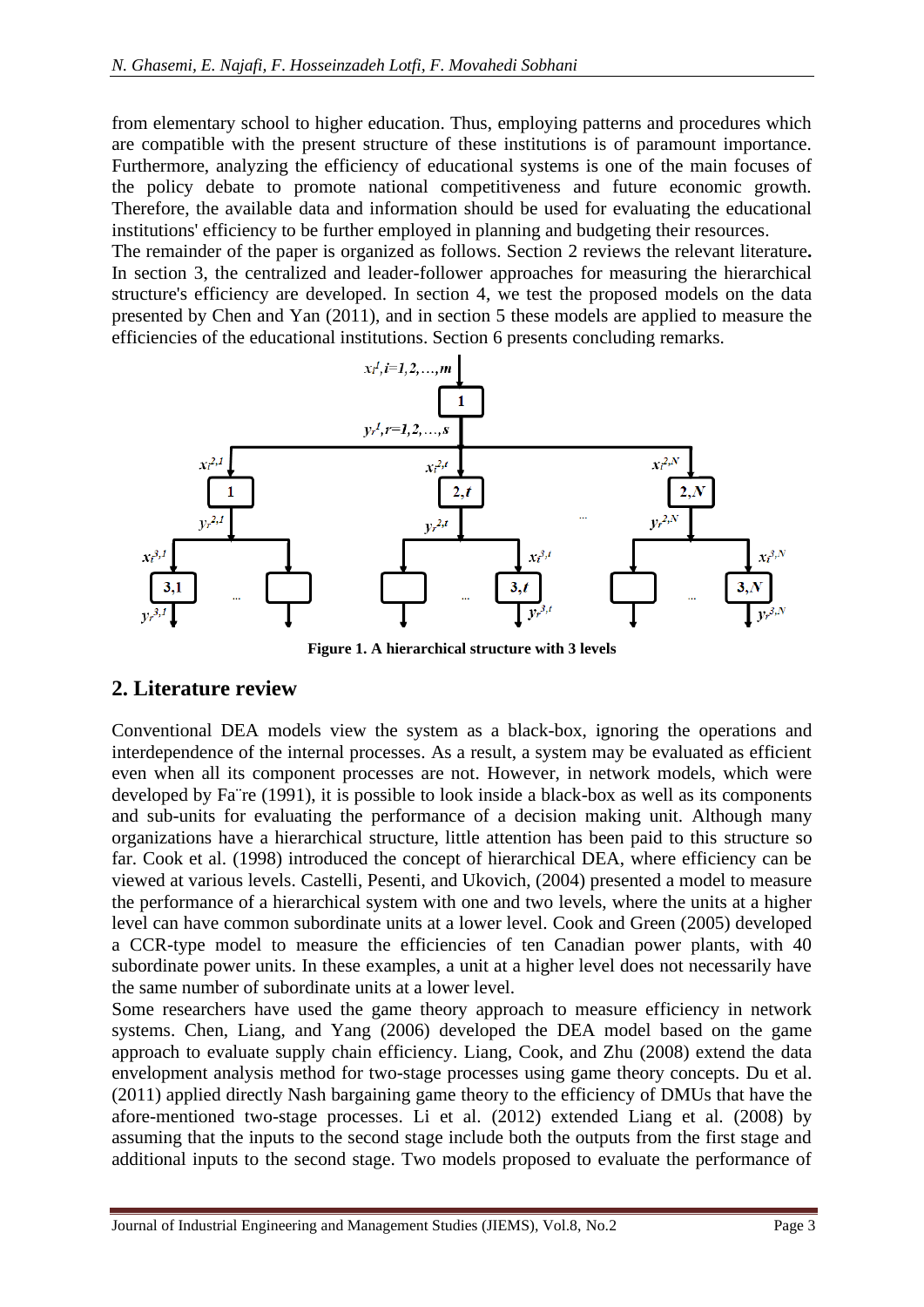from elementary school to higher education. Thus, employing patterns and procedures which are compatible with the present structure of these institutions is of paramount importance. Furthermore, analyzing the efficiency of educational systems is one of the main focuses of the policy debate to promote national competitiveness and future economic growth. Therefore, the available data and information should be used for evaluating the educational institutions' efficiency to be further employed in planning and budgeting their resources.

The remainder of the paper is organized as follows. Section [2](#page-2-1) reviews the relevant literature**.**  In section [3,](#page-5-0) the centralized and leader-follower approaches for measuring the hierarchical structure's efficiency are developed. In section [4,](#page-9-0) we test the proposed models on the data presented by Chen and Yan (2011), and in section [5](#page-11-0) these models are applied to measure the efficiencies of the educational institutions. Section [6](#page-20-0) presents concluding remarks.



**Figure 1. A hierarchical structure with 3 levels**

## <span id="page-2-1"></span><span id="page-2-0"></span>**2. Literature review**

Conventional DEA models view the system as a black-box, ignoring the operations and interdependence of the internal processes. As a result, a system may be evaluated as efficient even when all its component processes are not. However, in network models, which were developed by Fa¨re (1991), it is possible to look inside a black-box as well as its components and sub-units for evaluating the performance of a decision making unit. Although many organizations have a hierarchical structure, little attention has been paid to this structure so far. Cook et al. (1998) introduced the concept of hierarchical DEA, where efficiency can be viewed at various levels. Castelli, Pesenti, and Ukovich, (2004) presented a model to measure the performance of a hierarchical system with one and two levels, where the units at a higher level can have common subordinate units at a lower level. Cook and Green (2005) developed a CCR-type model to measure the efficiencies of ten Canadian power plants, with 40 subordinate power units. In these examples, a unit at a higher level does not necessarily have the same number of subordinate units at a lower level.

Some researchers have used the game theory approach to measure efficiency in network systems. Chen, Liang, and Yang (2006) developed the DEA model based on the game approach to evaluate supply chain efficiency. Liang, Cook, and Zhu (2008) extend the data envelopment analysis method for two-stage processes using game theory concepts. Du et al. (2011) applied directly Nash bargaining game theory to the efficiency of DMUs that have the afore-mentioned two-stage processes. Li et al. (2012) extended Liang et al. (2008) by assuming that the inputs to the second stage include both the outputs from the first stage and additional inputs to the second stage. Two models proposed to evaluate the performance of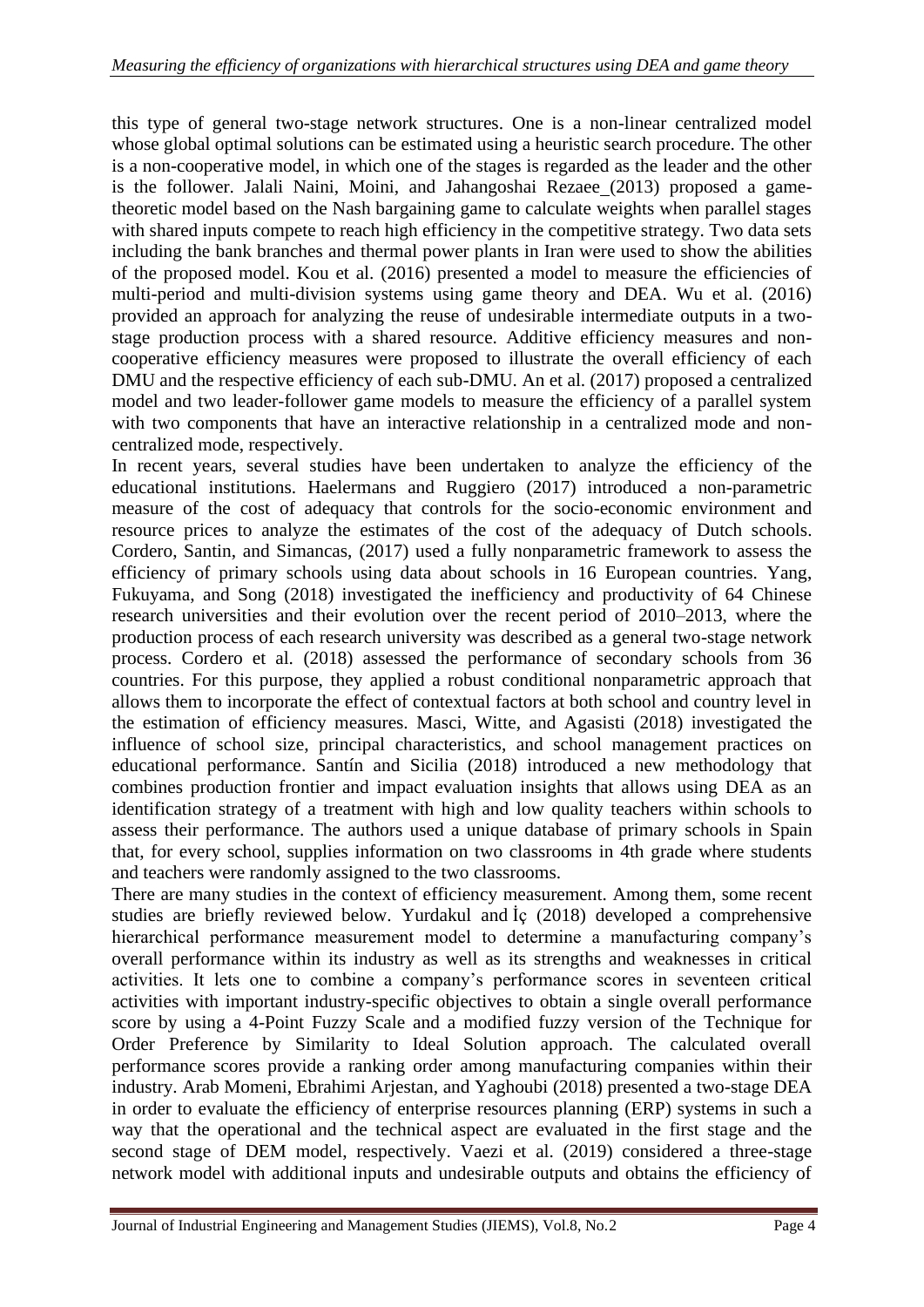this type of general two-stage network structures. One is a non-linear centralized model whose global optimal solutions can be estimated using a heuristic search procedure. The other is a non-cooperative model, in which one of the stages is regarded as the leader and the other is the follower. Jalali Naini, Moini, and Jahangoshai Rezaee (2013) proposed a gametheoretic model based on the Nash bargaining game to calculate weights when parallel stages with shared inputs compete to reach high efficiency in the competitive strategy. Two data sets including the bank branches and thermal power plants in Iran were used to show the abilities of the proposed model. Kou et al. (2016) presented a model to measure the efficiencies of multi-period and multi-division systems using game theory and DEA. Wu et al. (2016) provided an approach for analyzing the reuse of undesirable intermediate outputs in a twostage production process with a shared resource. Additive efficiency measures and noncooperative efficiency measures were proposed to illustrate the overall efficiency of each DMU and the respective efficiency of each sub-DMU. An et al. (2017) proposed a centralized model and two leader-follower game models to measure the efficiency of a parallel system with two components that have an interactive relationship in a centralized mode and noncentralized mode, respectively.

In recent years, several studies have been undertaken to analyze the efficiency of the educational institutions. Haelermans and Ruggiero (2017) introduced a non-parametric measure of the cost of adequacy that controls for the socio-economic environment and resource prices to analyze the estimates of the cost of the adequacy of Dutch schools. Cordero, Santin, and Simancas, (2017) used a fully nonparametric framework to assess the efficiency of primary schools using data about schools in 16 European countries. Yang, Fukuyama, and Song (2018) investigated the inefficiency and productivity of 64 Chinese research universities and their evolution over the recent period of 2010–2013, where the production process of each research university was described as a general two-stage network process. Cordero et al. (2018) assessed the performance of secondary schools from 36 countries. For this purpose, they applied a robust conditional nonparametric approach that allows them to incorporate the effect of contextual factors at both school and country level in the estimation of efficiency measures. Masci, Witte, and Agasisti (2018) investigated the influence of school size, principal characteristics, and school management practices on educational performance. Santín and Sicilia (2018) introduced a new methodology that combines production frontier and impact evaluation insights that allows using DEA as an identification strategy of a treatment with high and low quality teachers within schools to assess their performance. The authors used a unique database of primary schools in Spain that, for every school, supplies information on two classrooms in 4th grade where students and teachers were randomly assigned to the two classrooms.

There are many studies in the context of efficiency measurement. Among them, some recent studies are briefly reviewed below. Yurdakul and İç (2018) developed a comprehensive hierarchical performance measurement model to determine a manufacturing company's overall performance within its industry as well as its strengths and weaknesses in critical activities. It lets one to combine a company's performance scores in seventeen critical activities with important industry-specific objectives to obtain a single overall performance score by using a 4-Point Fuzzy Scale and a modified fuzzy version of the Technique for Order Preference by Similarity to Ideal Solution approach. The calculated overall performance scores provide a ranking order among manufacturing companies within their industry. Arab Momeni, Ebrahimi Arjestan, and Yaghoubi (2018) presented a two-stage DEA in order to evaluate the efficiency of enterprise resources planning (ERP) systems in such a way that the operational and the technical aspect are evaluated in the first stage and the second stage of DEM model, respectively. Vaezi et al. (2019) considered a three-stage network model with additional inputs and undesirable outputs and obtains the efficiency of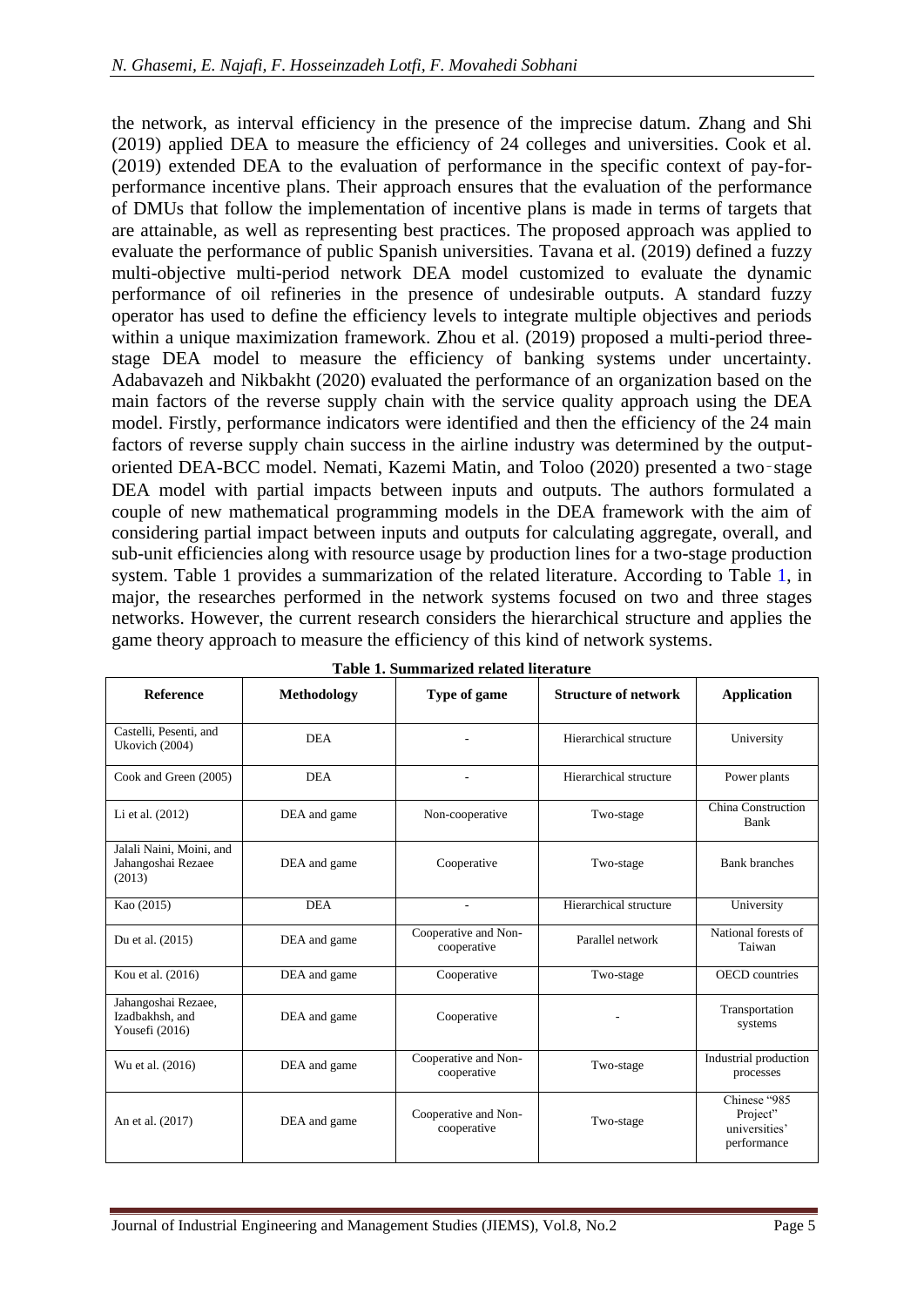the network, as interval efficiency in the presence of the imprecise datum. Zhang and Shi (2019) applied DEA to measure the efficiency of 24 colleges and universities. Cook et al. (2019) extended DEA to the evaluation of performance in the specific context of pay-forperformance incentive plans. Their approach ensures that the evaluation of the performance of DMUs that follow the implementation of incentive plans is made in terms of targets that are attainable, as well as representing best practices. The proposed approach was applied to evaluate the performance of public Spanish universities. Tavana et al. (2019) defined a fuzzy multi-objective multi-period network DEA model customized to evaluate the dynamic performance of oil refineries in the presence of undesirable outputs. A standard fuzzy operator has used to define the efficiency levels to integrate multiple objectives and periods within a unique maximization framework. Zhou et al. (2019) proposed a multi-period threestage DEA model to measure the efficiency of banking systems under uncertainty. Adabavazeh and Nikbakht (2020) evaluated the performance of an organization based on the main factors of the reverse supply chain with the service quality approach using the DEA model. Firstly, performance indicators were identified and then the efficiency of the 24 main factors of reverse supply chain success in the airline industry was determined by the outputoriented DEA-BCC model. Nemati, Kazemi Matin, and Toloo (2020) presented a two‑stage DEA model with partial impacts between inputs and outputs. The authors formulated a couple of new mathematical programming models in the DEA framework with the aim of considering partial impact between inputs and outputs for calculating aggregate, overall, and sub-unit efficiencies along with resource usage by production lines for a two-stage production system. Table [1](#page-4-0) provides a summarization of the related literature. According to Table [1,](#page-4-0) in major, the researches performed in the network systems focused on two and three stages networks. However, the current research considers the hierarchical structure and applies the game theory approach to measure the efficiency of this kind of network systems.

<span id="page-4-0"></span>

| Table 1. Summarized related interature                   |                    |                                     |                             |                                                          |  |  |  |  |  |
|----------------------------------------------------------|--------------------|-------------------------------------|-----------------------------|----------------------------------------------------------|--|--|--|--|--|
| <b>Reference</b>                                         | <b>Methodology</b> | Type of game                        | <b>Structure of network</b> | <b>Application</b>                                       |  |  |  |  |  |
| Castelli, Pesenti, and<br>Ukovich (2004)                 | <b>DEA</b>         |                                     | Hierarchical structure      | University                                               |  |  |  |  |  |
| Cook and Green (2005)                                    | <b>DEA</b>         |                                     | Hierarchical structure      | Power plants                                             |  |  |  |  |  |
| Li et al. (2012)                                         | DEA and game       | Non-cooperative                     | Two-stage                   | China Construction<br>Bank                               |  |  |  |  |  |
| Jalali Naini, Moini, and<br>Jahangoshai Rezaee<br>(2013) | DEA and game       | Cooperative                         | Two-stage                   | <b>Bank</b> branches                                     |  |  |  |  |  |
| Kao (2015)                                               | <b>DEA</b>         | ٠                                   | Hierarchical structure      | University                                               |  |  |  |  |  |
| Du et al. (2015)                                         | DEA and game       | Cooperative and Non-<br>cooperative | Parallel network            | National forests of<br>Taiwan                            |  |  |  |  |  |
| Kou et al. (2016)                                        | DEA and game       | Cooperative                         | Two-stage                   | <b>OECD</b> countries                                    |  |  |  |  |  |
| Jahangoshai Rezaee,<br>Izadbakhsh, and<br>Yousefi (2016) | DEA and game       | Cooperative                         |                             | Transportation<br>systems                                |  |  |  |  |  |
| Wu et al. (2016)                                         | DEA and game       | Cooperative and Non-<br>cooperative | Two-stage                   | Industrial production<br>processes                       |  |  |  |  |  |
| An et al. (2017)                                         | DEA and game       | Cooperative and Non-<br>cooperative | Two-stage                   | Chinese "985<br>Project"<br>universities'<br>performance |  |  |  |  |  |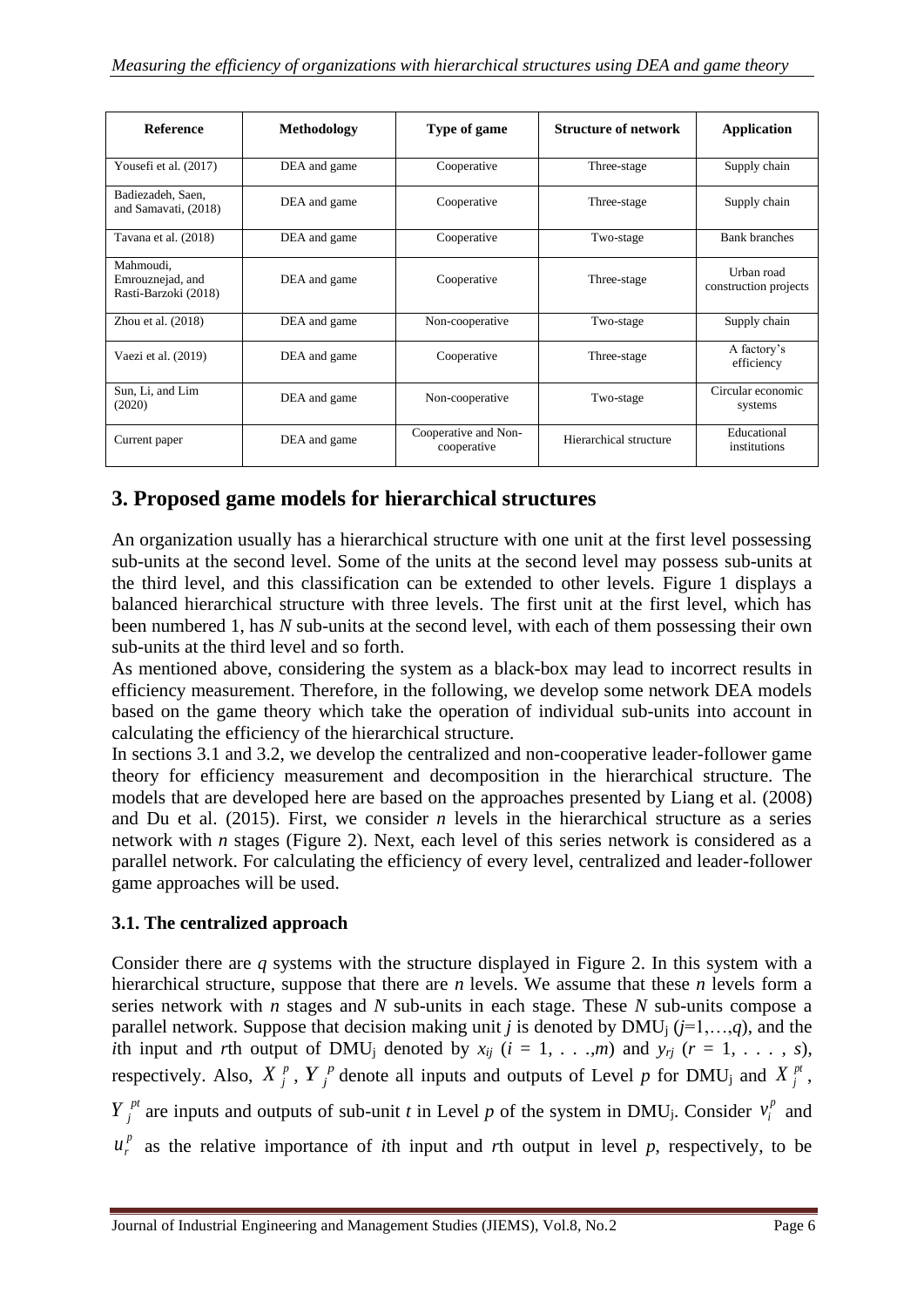| <b>Reference</b>                                      | <b>Methodology</b> | Type of game                        | <b>Structure of network</b> | <b>Application</b>                  |
|-------------------------------------------------------|--------------------|-------------------------------------|-----------------------------|-------------------------------------|
| Yousefi et al. (2017)                                 | DEA and game       | Cooperative                         | Three-stage                 | Supply chain                        |
| Badiezadeh, Saen,<br>and Samavati, (2018)             | DEA and game       | Cooperative                         | Three-stage                 | Supply chain                        |
| Tavana et al. (2018)                                  | DEA and game       | Cooperative                         | Two-stage                   | <b>Bank branches</b>                |
| Mahmoudi,<br>Emrouznejad, and<br>Rasti-Barzoki (2018) | DEA and game       | Cooperative                         | Three-stage                 | Urban road<br>construction projects |
| Zhou et al. $(2018)$                                  | DEA and game       | Non-cooperative                     | Two-stage                   | Supply chain                        |
| Vaezi et al. (2019)                                   | DEA and game       | Cooperative                         | Three-stage                 | A factory's<br>efficiency           |
| Sun, Li, and Lim<br>(2020)                            | DEA and game       | Non-cooperative                     | Two-stage                   | Circular economic<br>systems        |
| Current paper                                         | DEA and game       | Cooperative and Non-<br>cooperative | Hierarchical structure      | Educational<br>institutions         |

# <span id="page-5-0"></span>**3. Proposed game models for hierarchical structures**

An organization usually has a hierarchical structure with one unit at the first level possessing sub-units at the second level. Some of the units at the second level may possess sub-units at the third level, and this classification can be extended to other levels. Figure [1](#page-2-0) displays a balanced hierarchical structure with three levels. The first unit at the first level, which has been numbered 1, has *N* sub-units at the second level, with each of them possessing their own sub-units at the third level and so forth.

As mentioned above, considering the system as a black-box may lead to incorrect results in efficiency measurement. Therefore, in the following, we develop some network DEA models based on the game theory which take the operation of individual sub-units into account in calculating the efficiency of the hierarchical structure.

In sections [3.1](#page-5-1) and [3.2,](#page-7-0) we develop the centralized and non-cooperative leader-follower game theory for efficiency measurement and decomposition in the hierarchical structure. The models that are developed here are based on the approaches presented by Liang et al. (2008) and Du et al. (2015). First, we consider *n* levels in the hierarchical structure as a series network with *n* stages (Figure [2\)](#page-6-0). Next, each level of this series network is considered as a parallel network. For calculating the efficiency of every level, centralized and leader-follower game approaches will be used.

## <span id="page-5-1"></span>**3.1. The centralized approach**

Consider there are *q* systems with the structure displayed in Figure [2.](#page-6-0) In this system with a hierarchical structure, suppose that there are *n* levels. We assume that these *n* levels form a series network with *n* stages and *N* sub-units in each stage. These *N* sub-units compose a parallel network. Suppose that decision making unit *j* is denoted by DMU<sub>j</sub> ( $j=1,...,q$ ), and the *i*th input and *r*th output of DMU<sub>j</sub> denoted by  $x_{ij}$  ( $i = 1, \ldots, m$ ) and  $y_{rj}$  ( $r = 1, \ldots, s$ ), respectively. Also,  $X_j^p$ ,  $Y_j^p$  denote all inputs and outputs of Level *p* for DMU<sub>j</sub> and  $X_j^{pt}$ ,

*P*<sup>*p*</sup> *i* are inputs and outputs of sub-unit *t* in Level *p* of the system in DMU<sub>j</sub>. Consider  $v_i^p$  and

 $u_r^p$  as the relative importance of *i*th input and *r*th output in level *p*, respectively, to be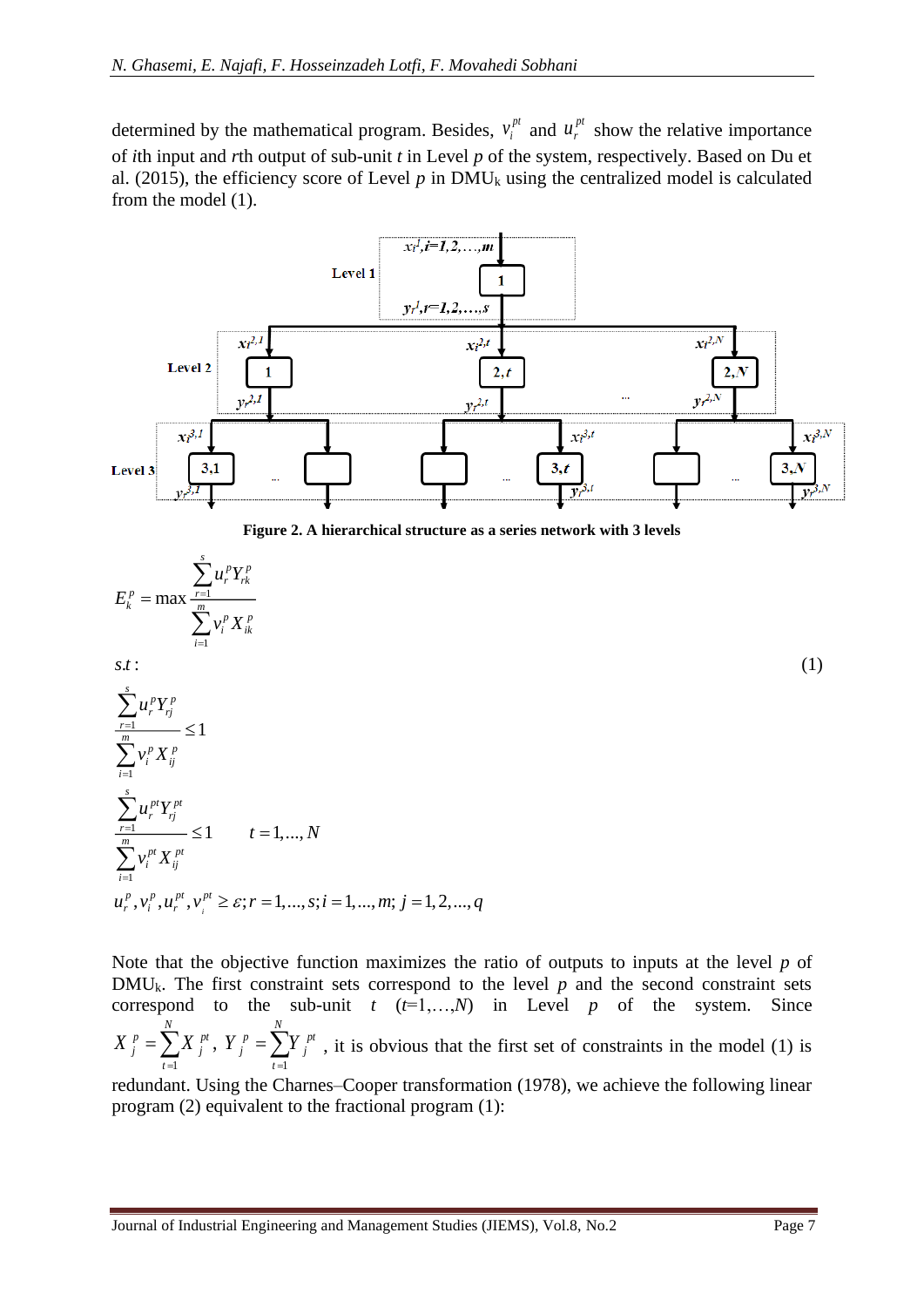determined by the mathematical program. Besides,  $v_i^{pi}$  $v_i^{pt}$  and  $u_r^{pt}$  show the relative importance of *i*th input and *r*th output of sub-unit *t* in Level *p* of the system, respectively. Based on Du et al. (2015), the efficiency score of Level  $p$  in DMU<sub>k</sub> using the centralized model is calculated from the model (1).



**Figure 2. A hierarchical structure as a series network with 3 levels**

<span id="page-6-0"></span>
$$
E_{k}^{p} = \max \frac{\sum_{r=1}^{s} u_{r}^{p} Y_{rk}^{p}}{\sum_{i=1}^{m} v_{i}^{p} X_{ik}^{p}}
$$

 $\mathbf{r}:$  (1) *s t*

$$
\sum_{r=1}^{s} u_r^p Y_{rj}^p \le 1
$$
\n
$$
\sum_{i=1}^{m} v_i^p X_{ij}^p \le 1
$$
\n
$$
\sum_{r=1}^{s} u_r^{pt} Y_{rj}^{pt} \le 1 \qquad t = 1,..., N
$$
\n
$$
\sum_{i=1}^{m} v_i^{pt} X_{ij}^{pt} \le \varepsilon; r = 1,..., s; i = 1,..., m; j = 1, 2,..., q
$$

Note that the objective function maximizes the ratio of outputs to inputs at the level *p* of  $DMU_k$ . The first constraint sets correspond to the level  $p$  and the second constraint sets correspond to the sub-unit  $t$  ( $t=1,...,N$ ) in Level  $p$  of the system. Since  $1 \qquad \qquad t=1$ , *N N*  $p = \sum Y$  *pt*  $\sum p$  *p*  $\sum p$  *pt j*  $\sum_{t=1}^{4}$  *j*  $\sum_{t=1}^{4}$  *j*  $X_j^p = \sum X_j^{p}$ ,  $Y_j^p = \sum Y_j^{p}$ , it is obvious that the first set of constraints in the model (1) is  $=$   $=$   $=$ 

redundant. Using the Charnes–Cooper transformation (1978), we achieve the following linear program (2) equivalent to the fractional program (1):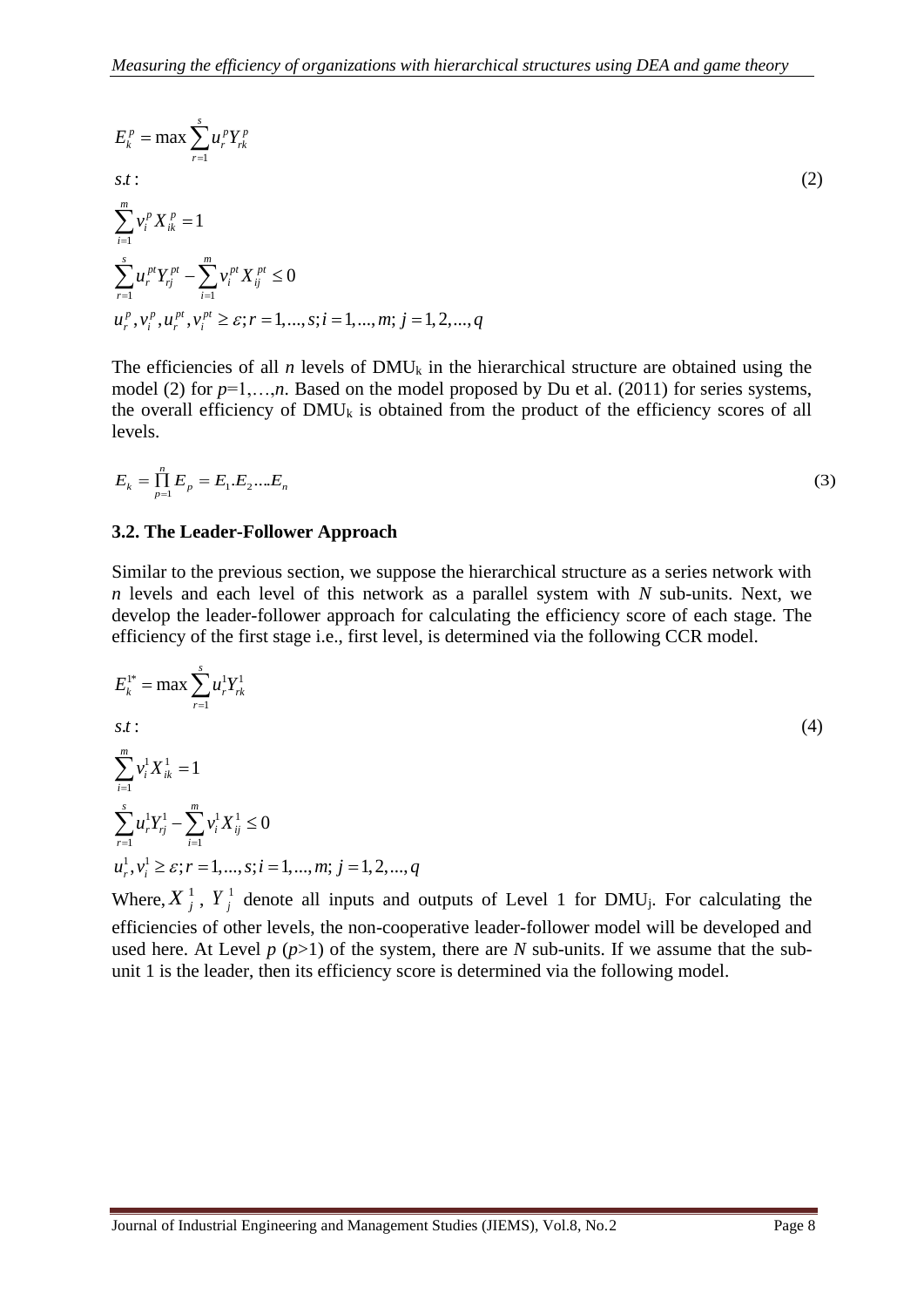$$
E_{k}^{p} = \max \sum_{r=1}^{s} u_{r}^{p} Y_{rk}^{p}
$$
  
s.t : (2)  

$$
\sum_{i=1}^{m} v_{i}^{p} X_{ik}^{p} = 1
$$
  

$$
\sum_{r=1}^{s} u_{r}^{pt} Y_{rj}^{pt} - \sum_{i=1}^{m} v_{i}^{pt} X_{ij}^{pt} \le 0
$$
  

$$
u_{r}^{p}, v_{i}^{p}, u_{r}^{pt}, v_{i}^{pt} \ge \varepsilon; r = 1, ..., s; i = 1, ..., m; j = 1, 2, ..., q
$$

The efficiencies of all *n* levels of DMU<sub>k</sub> in the hierarchical structure are obtained using the model (2) for  $p=1,\ldots,n$ . Based on the model proposed by Du et al. (2011) for series systems, the overall efficiency of  $DMU_k$  is obtained from the product of the efficiency scores of all levels.

$$
E_k = \prod_{p=1}^n E_p = E_1.E_2...E_n
$$
\n(3)

#### <span id="page-7-0"></span>**3.2. The Leader-Follower Approach**

Similar to the previous section, we suppose the hierarchical structure as a series network with *n* levels and each level of this network as a parallel system with *N* sub-units. Next, we develop the leader-follower approach for calculating the efficiency score of each stage. The efficiency of the first stage i.e., first level, is determined via the following CCR model.

$$
E_k^{1*} = \max \sum_{r=1}^{s} u_r^1 Y_{rk}^1
$$
  
s.t:  

$$
\sum_{i=1}^{m} v_i^1 X_{ik}^1 = 1
$$
  

$$
\sum_{r=1}^{s} u_r^1 Y_{rj}^1 - \sum_{i=1}^{m} v_i^1 X_{ij}^1 \le 0
$$
  

$$
u_r^1, v_i^1 \ge \varepsilon; r = 1, ..., s; i = 1, ..., m; j = 1, 2, ..., q
$$

Where,  $X_j^1$ ,  $Y_j^1$  denote all inputs and outputs of Level 1 for DMU<sub>j</sub>. For calculating the efficiencies of other levels, the non-cooperative leader-follower model will be developed and used here. At Level  $p(p>1)$  of the system, there are  $N$  sub-units. If we assume that the subunit 1 is the leader, then its efficiency score is determined via the following model.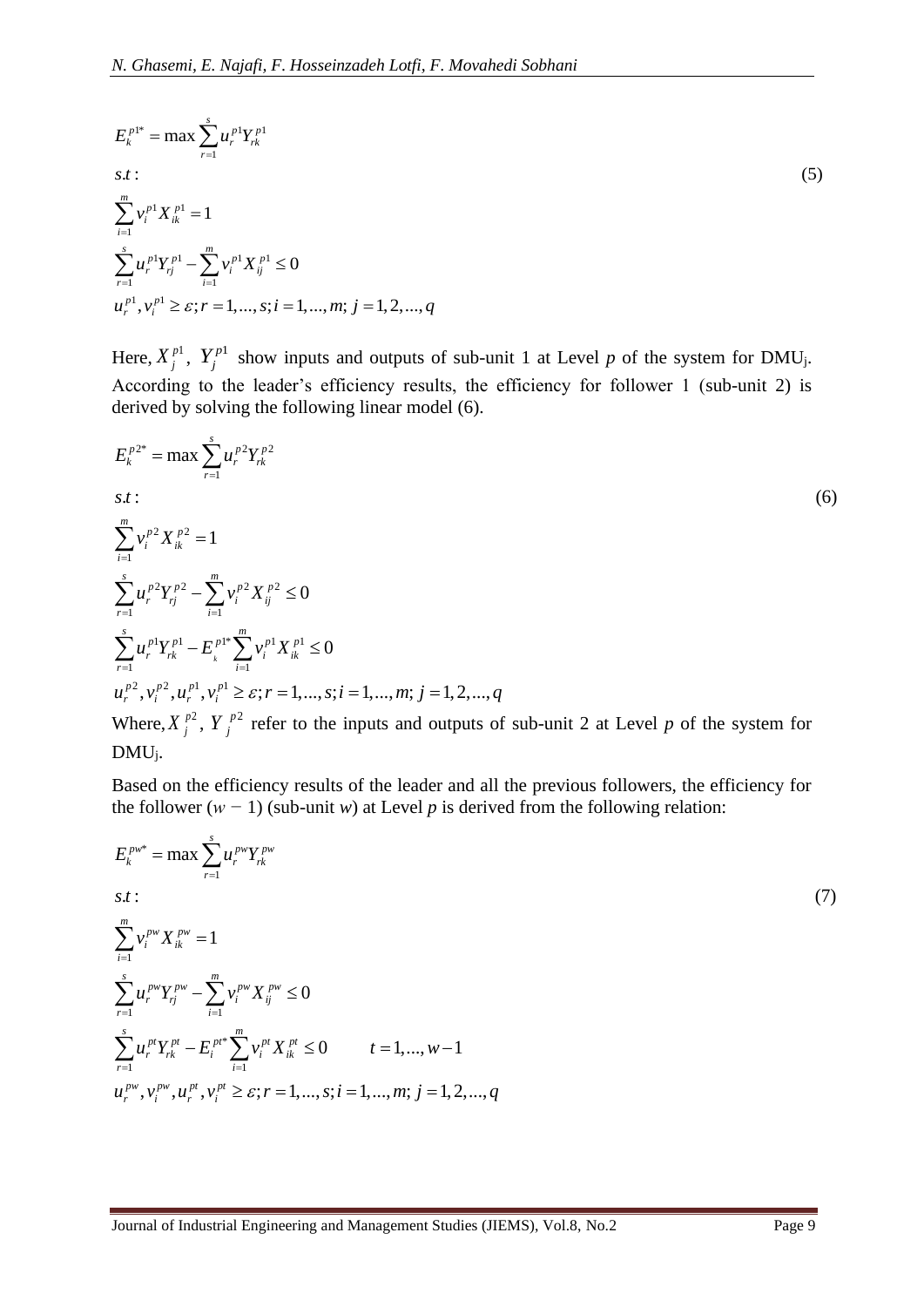$$
E_k^{p1*} = \max \sum_{r=1}^s u_r^{p1} Y_{rk}^{p1}
$$
  
s.t:  

$$
\sum_{i=1}^m v_i^{p1} X_{ik}^{p1} = 1
$$
  

$$
\sum_{r=1}^s u_r^{p1} Y_{rj}^{p1} - \sum_{i=1}^m v_i^{p1} X_{ij}^{p1} \le 0
$$
  

$$
u_r^{p1}, v_i^{p1} \ge \varepsilon; r = 1, ..., s; i = 1, ..., m; j = 1, 2, ..., q
$$
 (5)

Here,  $X_j^{p_1}$ ,  $Y_j^{p_1}$  show inputs and outputs of sub-unit 1 at Level *p* of the system for DMU<sub>j</sub>. According to the leader's efficiency results, the efficiency for follower 1 (sub-unit 2) is derived by solving the following linear model [\(6\)](#page-8-0).

<span id="page-8-0"></span>
$$
E_{k}^{p2*} = \max \sum_{r=1}^{s} u_{r}^{p2} Y_{rk}^{p2}
$$
  
s.t:  

$$
\sum_{i=1}^{m} v_{i}^{p2} X_{ik}^{p2} = 1
$$
  

$$
\sum_{r=1}^{s} u_{r}^{p2} Y_{rj}^{p2} - \sum_{i=1}^{m} v_{i}^{p2} X_{ij}^{p2} \le 0
$$
  

$$
\sum_{r=1}^{s} u_{r}^{p1} Y_{rk}^{p1} - E_{k}^{p1*} \sum_{i=1}^{m} v_{i}^{p1} X_{ik}^{p1} \le 0
$$
  

$$
u_{r}^{p2}, v_{r}^{p2}, u_{r}^{p1}, v_{r}^{p1} \ge \varepsilon; r = 1, ..., s; i = 1, ..., m; j = 1, 2, ..., q
$$
  
When  $X^{p2}, Y^{p2}$  is the first step, and contact of such units 2 of J and not the system for

Where,  $X_j^{p_2}$ ,  $Y_j^{p_2}$  refer to the inputs and outputs of sub-unit 2 at Level *p* of the system for DMUj.

Based on the efficiency results of the leader and all the previous followers, the efficiency for the follower  $(w - 1)$  (sub-unit *w*) at Level *p* is derived from the following relation:

$$
E_{k}^{p_{w}} = \max \sum_{r=1}^{s} u_{r}^{p_{w}} Y_{rk}^{p_{w}}
$$
  
s.t:  

$$
\sum_{i=1}^{m} v_{i}^{p_{w}} X_{ik}^{p_{w}} = 1
$$
  

$$
\sum_{r=1}^{s} u_{r}^{p_{w}} Y_{rj}^{p_{r}} - \sum_{i=1}^{m} v_{i}^{p_{w}} X_{ij}^{p_{w}} \le 0
$$
  

$$
\sum_{r=1}^{s} u_{r}^{p_{r}} Y_{rk}^{p_{t}} - E_{i}^{p_{t}*} \sum_{i=1}^{m} v_{i}^{p_{t}} X_{ik}^{p_{t}} \le 0 \qquad t = 1,..., w-1
$$
  

$$
u_{r}^{p_{w}}, v_{i}^{p_{w}}, u_{r}^{p_{t}}, v_{i}^{p_{t}} \ge \varepsilon; r = 1,..., s; i = 1,..., m; j = 1, 2,..., q
$$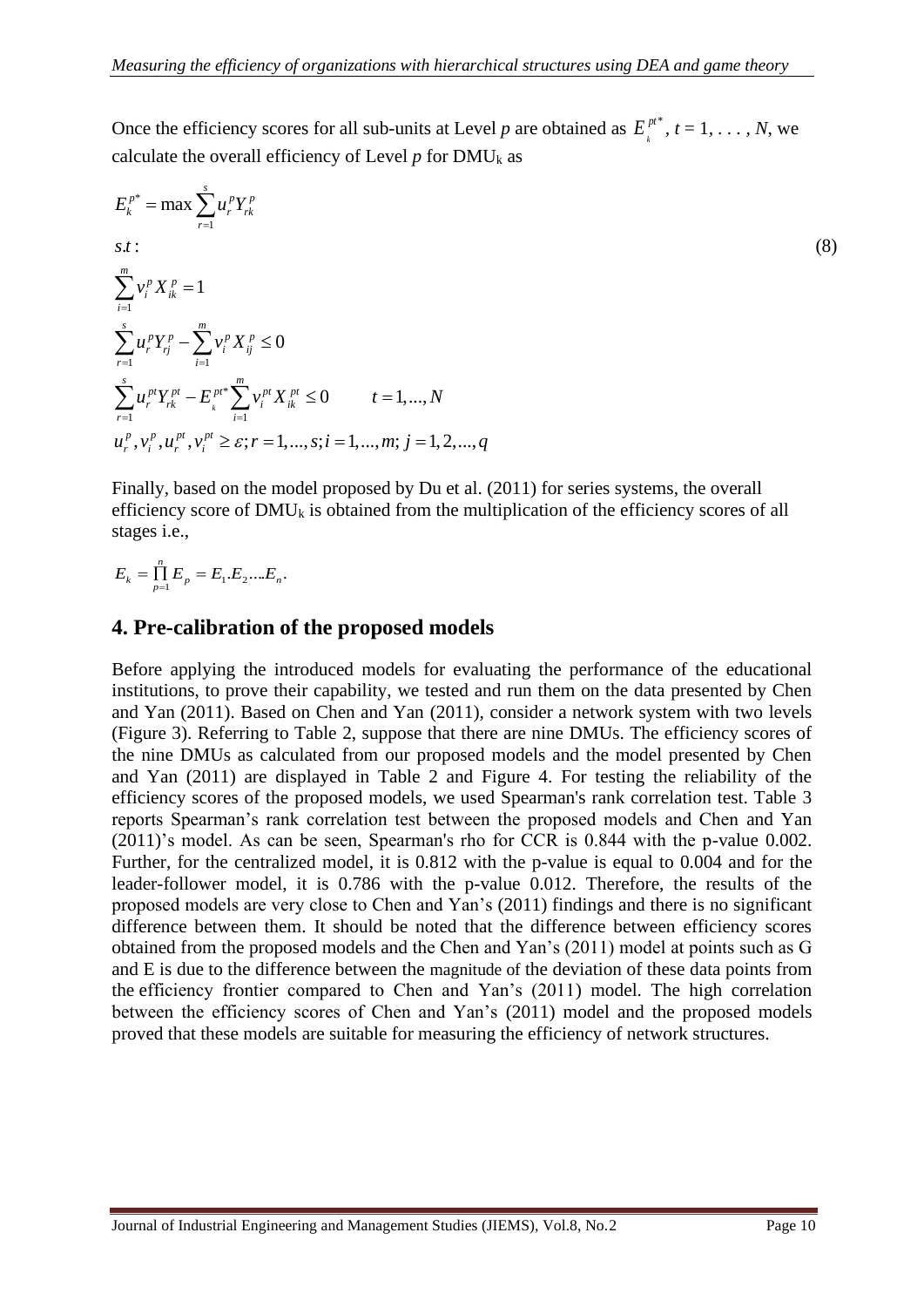Once the efficiency scores for all sub-units at Level *p* are obtained as  $E_k^{pt^*}$ ,  $t = 1, \ldots, N$ , we calculate the overall efficiency of Level  $p$  for DMU<sub>k</sub> as

$$
E_{k}^{p^{*}} = \max \sum_{r=1}^{s} u_{r}^{p} Y_{rk}^{p}
$$
  
s.t:  

$$
\sum_{i=1}^{m} v_{i}^{p} X_{ik}^{p} = 1
$$
  

$$
\sum_{r=1}^{s} u_{r}^{p} Y_{rj}^{p} - \sum_{i=1}^{m} v_{i}^{p} X_{ij}^{p} \le 0
$$
  

$$
\sum_{r=1}^{s} u_{r}^{p t} Y_{rk}^{p t} - E_{k}^{p t *} \sum_{i=1}^{m} v_{i}^{p t} X_{ik}^{p t} \le 0 \qquad t = 1,..., N
$$
  

$$
u_{r}^{p}, v_{i}^{p}, u_{r}^{p t}, v_{i}^{p t} \ge \varepsilon; r = 1,..., s; i = 1,..., m; j = 1, 2,..., q
$$

Finally, based on the model proposed by Du et al. (2011) for series systems, the overall efficiency score of  $DMU_k$  is obtained from the multiplication of the efficiency scores of all stages i.e.,

$$
E_{k} = \prod_{p=1}^{n} E_{p} = E_{1}E_{2}...E_{n}.
$$

### <span id="page-9-0"></span>**4. Pre-calibration of the proposed models**

Before applying the introduced models for evaluating the performance of the educational institutions, to prove their capability, we tested and run them on the data presented by Chen and Yan (2011). Based on Chen and Yan (2011), consider a network system with two levels (Figure 3). Referring to Table [2,](#page-10-0) suppose that there are nine DMUs. The efficiency scores of the nine DMUs as calculated from our proposed models and the model presented by Chen and Yan (2011) are displayed in Table [2](#page-10-0) and Figure 4. For testing the reliability of the efficiency scores of the proposed models, we used Spearman's rank correlation test. Table [3](#page-10-1) reports Spearman's rank correlation test between the proposed models and Chen and Yan (2011)'s model. As can be seen, Spearman's rho for CCR is 0.844 with the p-value 0.002. Further, for the centralized model, it is 0.812 with the p-value is equal to 0.004 and for the leader-follower model, it is 0.786 with the p-value 0.012. Therefore, the results of the proposed models are very close to Chen and Yan's (2011) findings and there is no significant difference between them. It should be noted that the difference between efficiency scores obtained from the proposed models and the Chen and Yan's (2011) model at points such as G and E is due to the difference between the magnitude of the deviation of these data points from the efficiency frontier compared to Chen and Yan's (2011) model. The high correlation between the efficiency scores of Chen and Yan's (2011) model and the proposed models proved that these models are suitable for measuring the efficiency of network structures.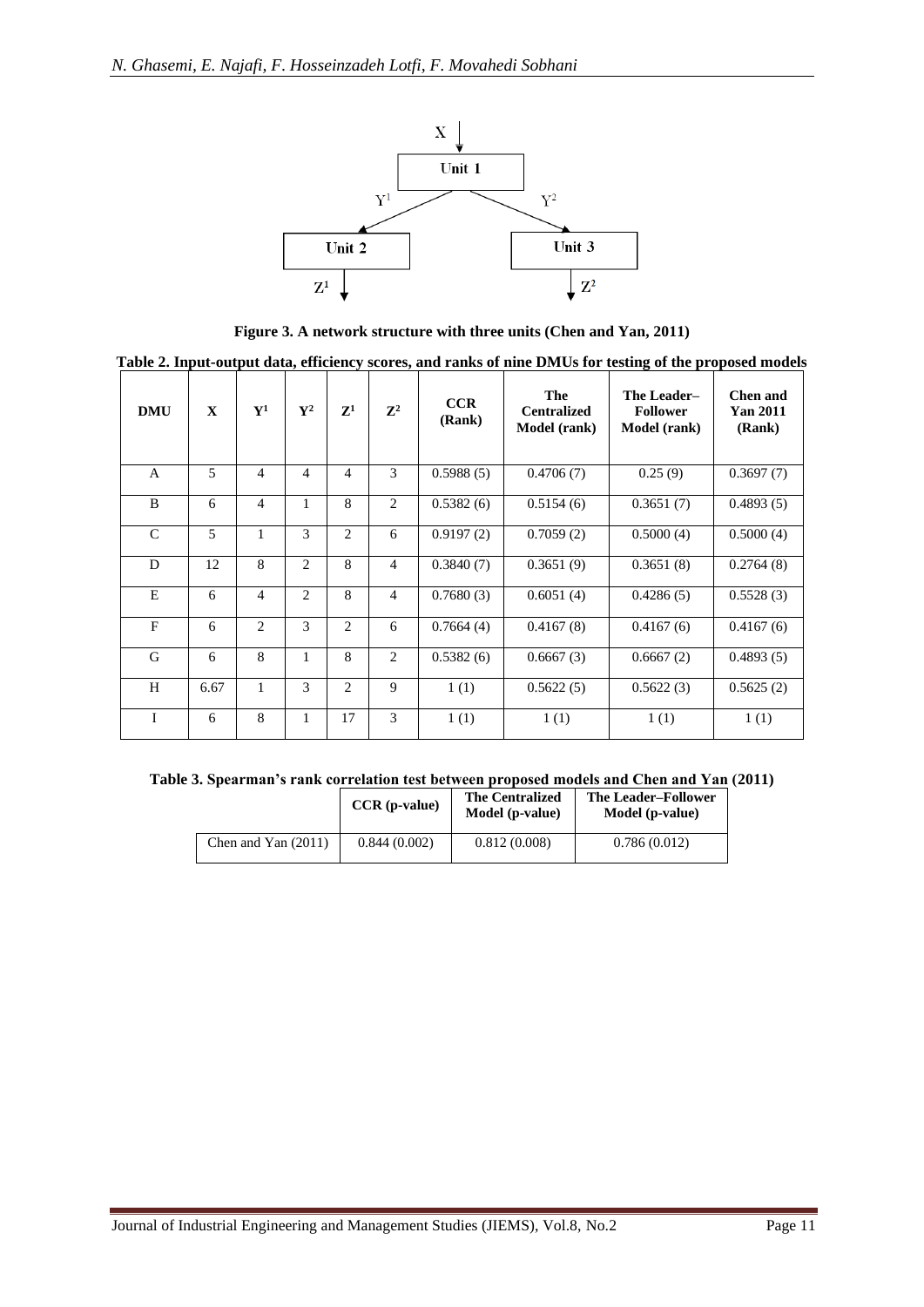

**Figure 3. A network structure with three units (Chen and Yan, 2011)**

<span id="page-10-0"></span>

|  | Table 2. Input-output data, efficiency scores, and ranks of nine DMUs for testing of the proposed models |  |  |
|--|----------------------------------------------------------------------------------------------------------|--|--|
|  |                                                                                                          |  |  |

| <b>DMU</b>    | $\mathbf{x}$ | ${\bf Y^1}$    | $\mathbf{V}^2$ | $\mathbf{Z}^1$ | $\mathbb{Z}^2$ | CCR<br>(Rank) | The<br><b>Centralized</b><br><b>Model</b> (rank) | The Leader-<br><b>Follower</b><br>Model (rank) | Chen and<br><b>Yan 2011</b><br>(Rank) |
|---------------|--------------|----------------|----------------|----------------|----------------|---------------|--------------------------------------------------|------------------------------------------------|---------------------------------------|
| $\mathsf{A}$  | 5            | $\overline{4}$ | 4              | 4              | 3              | 0.5988(5)     | 0.4706(7)                                        | 0.25(9)                                        | 0.3697(7)                             |
| B             | 6            | $\overline{4}$ | 1              | 8              | 2              | 0.5382(6)     | 0.5154(6)                                        | 0.3651(7)                                      | 0.4893(5)                             |
| $\mathcal{C}$ | 5            | 1              | 3              | $\overline{c}$ | 6              | 0.9197(2)     | 0.7059(2)                                        | 0.5000(4)                                      | 0.5000(4)                             |
| D             | 12           | 8              | $\overline{c}$ | 8              | $\overline{4}$ | 0.3840(7)     | 0.3651(9)                                        | 0.3651(8)                                      | 0.2764(8)                             |
| E             | 6            | $\overline{4}$ | 2              | 8              | $\overline{4}$ | 0.7680(3)     | 0.6051(4)                                        | 0.4286(5)                                      | 0.5528(3)                             |
| $\mathbf{F}$  | 6            | 2              | 3              | 2              | 6              | 0.7664(4)     | 0.4167(8)                                        | 0.4167(6)                                      | 0.4167(6)                             |
| G             | 6            | 8              | 1              | 8              | 2              | 0.5382(6)     | 0.6667(3)                                        | 0.6667(2)                                      | 0.4893(5)                             |
| H             | 6.67         | 1              | 3              | $\overline{c}$ | 9              | 1(1)          | 0.5622(5)                                        | 0.5622(3)                                      | 0.5625(2)                             |
| I             | 6            | 8              | $\mathbf{1}$   | 17             | 3              | 1(1)          | 1(1)                                             | 1(1)                                           | 1(1)                                  |

<span id="page-10-1"></span>

| Table 3. Spearman's rank correlation test between proposed models and Chen and Yan (2011) |  |  |  |  |
|-------------------------------------------------------------------------------------------|--|--|--|--|
|                                                                                           |  |  |  |  |

|                       | $CCR$ (p-value) | <b>The Centralized</b><br>Model (p-value) | <b>The Leader–Follower</b><br>Model (p-value) |
|-----------------------|-----------------|-------------------------------------------|-----------------------------------------------|
| Chen and Yan $(2011)$ | 0.844(0.002)    | 0.812(0.008)                              | 0.786(0.012)                                  |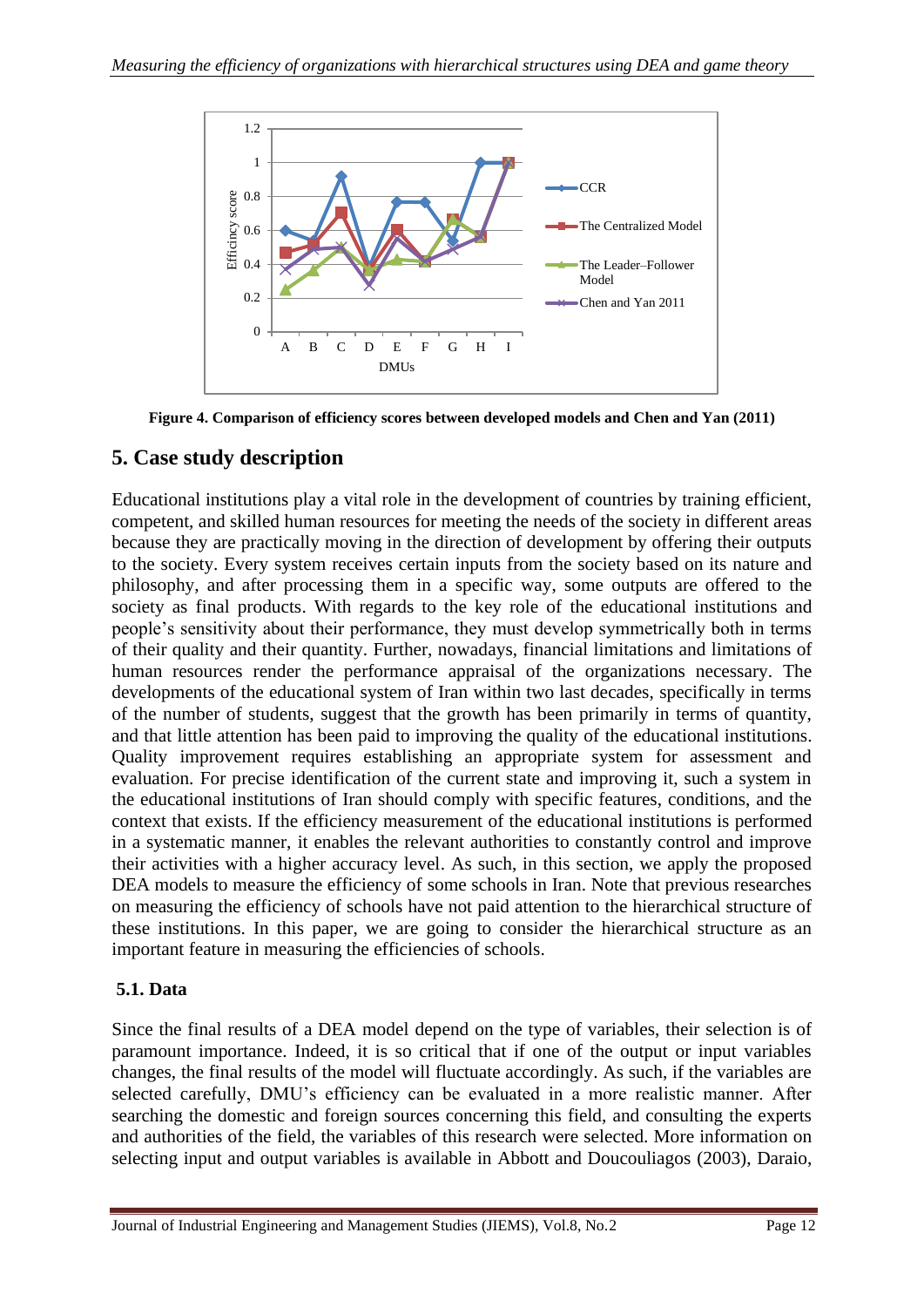

**Figure 4. Comparison of efficiency scores between developed models and Chen and Yan (2011)** 

# <span id="page-11-0"></span>**5. Case study description**

Educational institutions play a vital role in the development of countries by training efficient, competent, and skilled human resources for meeting the needs of the society in different areas because they are practically moving in the direction of development by offering their outputs to the society. Every system receives certain inputs from the society based on its nature and philosophy, and after processing them in a specific way, some outputs are offered to the society as final products. With regards to the key role of the educational institutions and people's sensitivity about their performance, they must develop symmetrically both in terms of their quality and their quantity. Further, nowadays, financial limitations and limitations of human resources render the performance appraisal of the organizations necessary. The developments of the educational system of Iran within two last decades, specifically in terms of the number of students, suggest that the growth has been primarily in terms of quantity, and that little attention has been paid to improving the quality of the educational institutions. Quality improvement requires establishing an appropriate system for assessment and evaluation. For precise identification of the current state and improving it, such a system in the educational institutions of Iran should comply with specific features, conditions, and the context that exists. If the efficiency measurement of the educational institutions is performed in a systematic manner, it enables the relevant authorities to constantly control and improve their activities with a higher accuracy level. As such, in this section, we apply the proposed DEA models to measure the efficiency of some schools in Iran. Note that previous researches on measuring the efficiency of schools have not paid attention to the hierarchical structure of these institutions. In this paper, we are going to consider the hierarchical structure as an important feature in measuring the efficiencies of schools.

# **5.1. Data**

Since the final results of a DEA model depend on the type of variables, their selection is of paramount importance. Indeed, it is so critical that if one of the output or input variables changes, the final results of the model will fluctuate accordingly. As such, if the variables are selected carefully, DMU's efficiency can be evaluated in a more realistic manner. After searching the domestic and foreign sources concerning this field, and consulting the experts and authorities of the field, the variables of this research were selected. More information on selecting input and output variables is available in Abbott and Doucouliagos (2003), Daraio,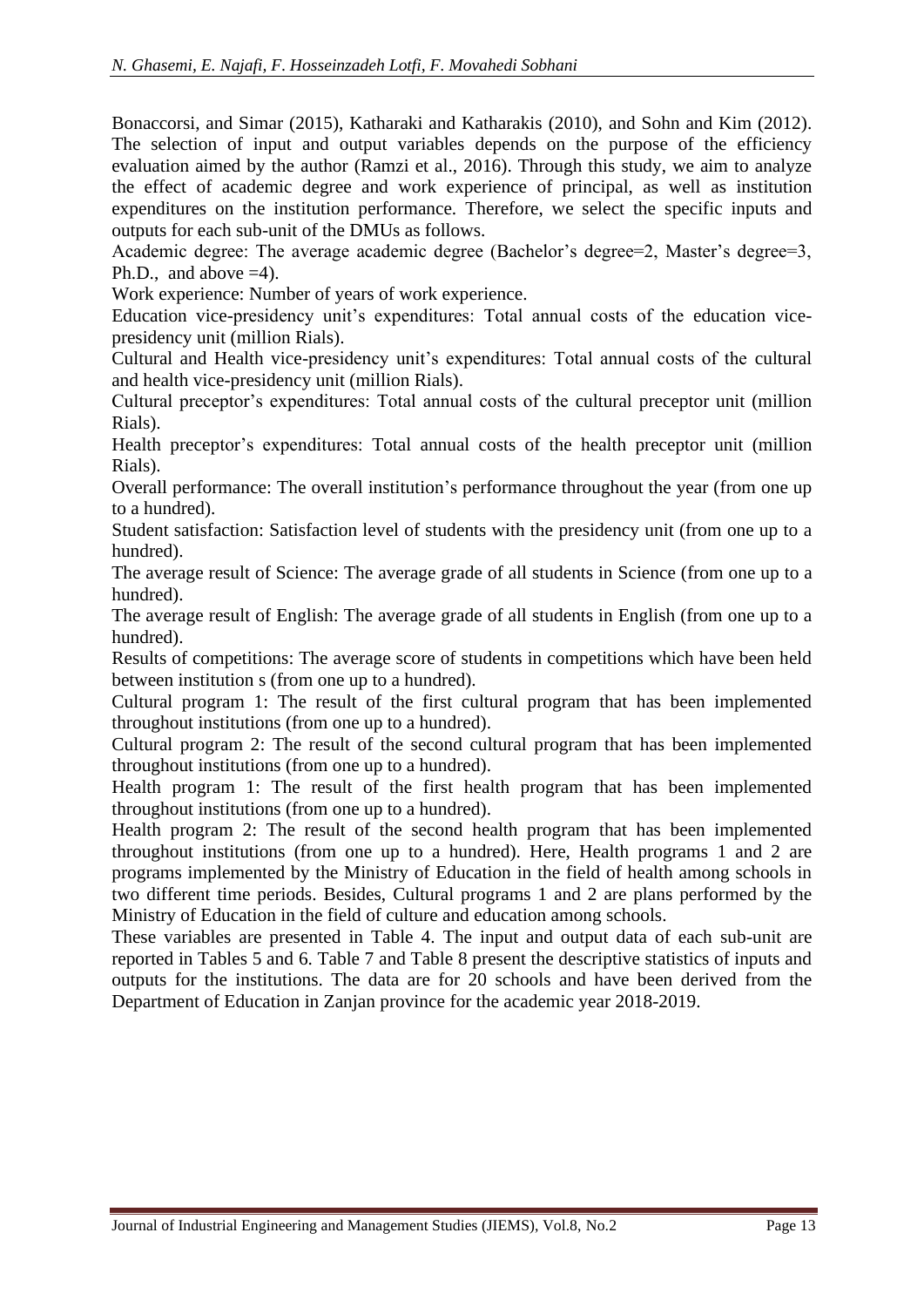Bonaccorsi, and Simar (2015), Katharaki and Katharakis (2010), and Sohn and Kim (2012). The selection of input and output variables depends on the purpose of the efficiency evaluation aimed by the author (Ramzi et al., 2016). Through this study, we aim to analyze the effect of academic degree and work experience of principal, as well as institution expenditures on the institution performance. Therefore, we select the specific inputs and outputs for each sub-unit of the DMUs as follows.

Academic degree: The average academic degree (Bachelor's degree=2, Master's degree=3, Ph.D., and above  $=4$ ).

Work experience: Number of years of work experience.

Education vice-presidency unit's expenditures: Total annual costs of the education vicepresidency unit (million Rials).

Cultural and Health vice-presidency unit's expenditures: Total annual costs of the cultural and health vice-presidency unit (million Rials).

Cultural preceptor's expenditures: Total annual costs of the cultural preceptor unit (million Rials).

Health preceptor's expenditures: Total annual costs of the health preceptor unit (million Rials).

Overall performance: The overall institution's performance throughout the year (from one up to a hundred).

Student satisfaction: Satisfaction level of students with the presidency unit (from one up to a hundred).

The average result of Science: The average grade of all students in Science (from one up to a hundred).

The average result of English: The average grade of all students in English (from one up to a hundred).

Results of competitions: The average score of students in competitions which have been held between institution s (from one up to a hundred).

Cultural program 1: The result of the first cultural program that has been implemented throughout institutions (from one up to a hundred).

Cultural program 2: The result of the second cultural program that has been implemented throughout institutions (from one up to a hundred).

Health program 1: The result of the first health program that has been implemented throughout institutions (from one up to a hundred).

Health program 2: The result of the second health program that has been implemented throughout institutions (from one up to a hundred). Here, Health programs 1 and 2 are programs implemented by the Ministry of Education in the field of health among schools in two different time periods. Besides, Cultural programs 1 and 2 are plans performed by the Ministry of Education in the field of culture and education among schools.

These variables are presented in Table [4.](#page-13-0) The input and output data of each sub-unit are reported in Tables [5](#page-13-1) and [6.](#page-14-0) Table [7](#page-15-0) and Table [8](#page-15-1) present the descriptive statistics of inputs and outputs for the institutions. The data are for 20 schools and have been derived from the Department of Education in Zanjan province for the academic year 2018-2019.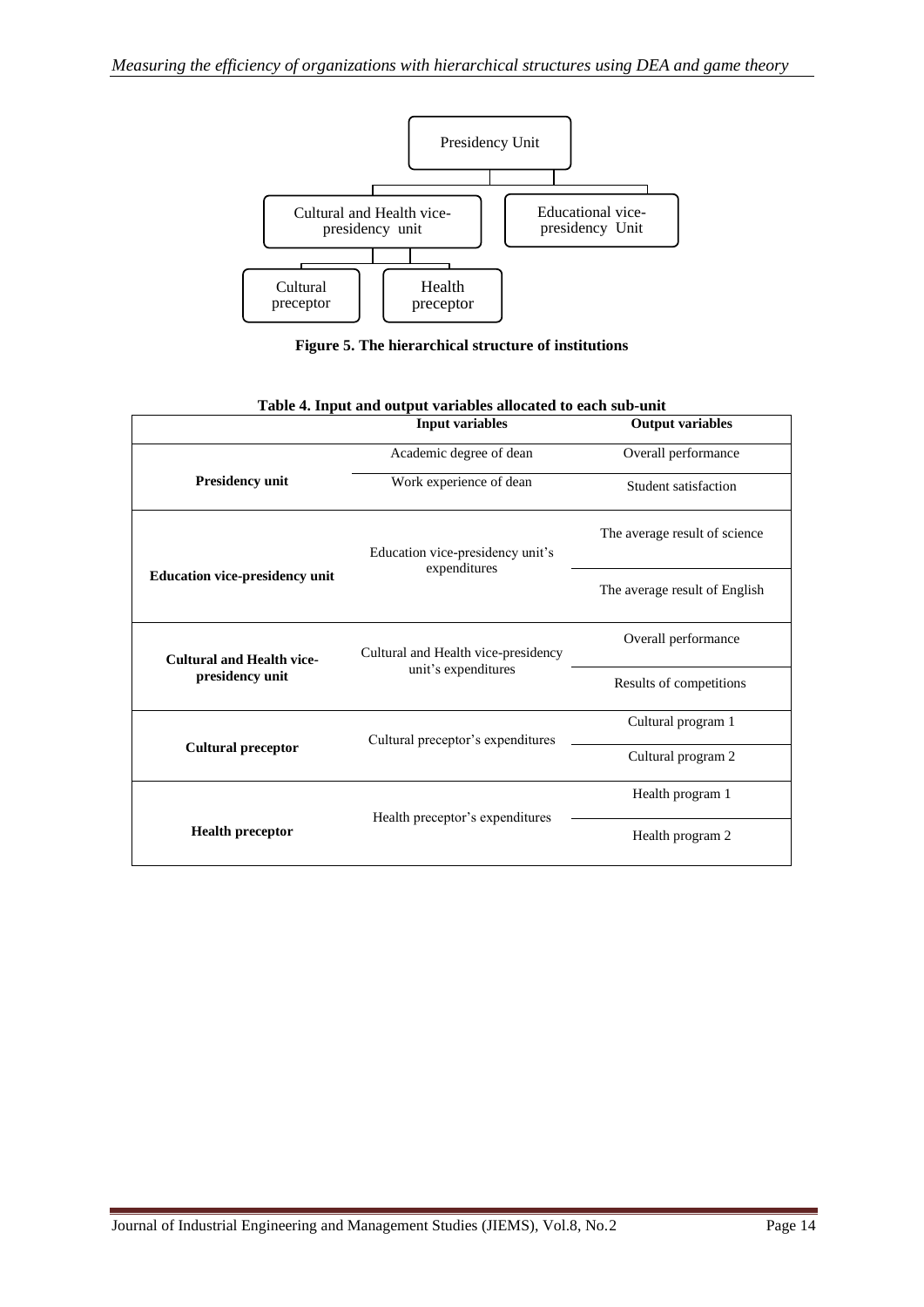

**Figure 5. The hierarchical structure of institutions**

<span id="page-13-2"></span><span id="page-13-1"></span><span id="page-13-0"></span>

|                                       | rasie a mparana saipar ramasies anocatea to caen sus ann<br><b>Input variables</b> | <b>Output variables</b>       |
|---------------------------------------|------------------------------------------------------------------------------------|-------------------------------|
|                                       | Academic degree of dean                                                            | Overall performance           |
| <b>Presidency unit</b>                | Work experience of dean                                                            | Student satisfaction          |
|                                       | Education vice-presidency unit's<br>expenditures                                   | The average result of science |
| <b>Education vice-presidency unit</b> |                                                                                    | The average result of English |
| <b>Cultural and Health vice-</b>      | Cultural and Health vice-presidency                                                | Overall performance           |
| presidency unit                       | unit's expenditures                                                                | Results of competitions       |
|                                       | Cultural preceptor's expenditures                                                  | Cultural program 1            |
| <b>Cultural preceptor</b>             |                                                                                    | Cultural program 2            |
|                                       |                                                                                    | Health program 1              |
| <b>Health preceptor</b>               | Health preceptor's expenditures                                                    | Health program 2              |

| Table 4. Input and output variables allocated to each sub-unit |  |
|----------------------------------------------------------------|--|
|----------------------------------------------------------------|--|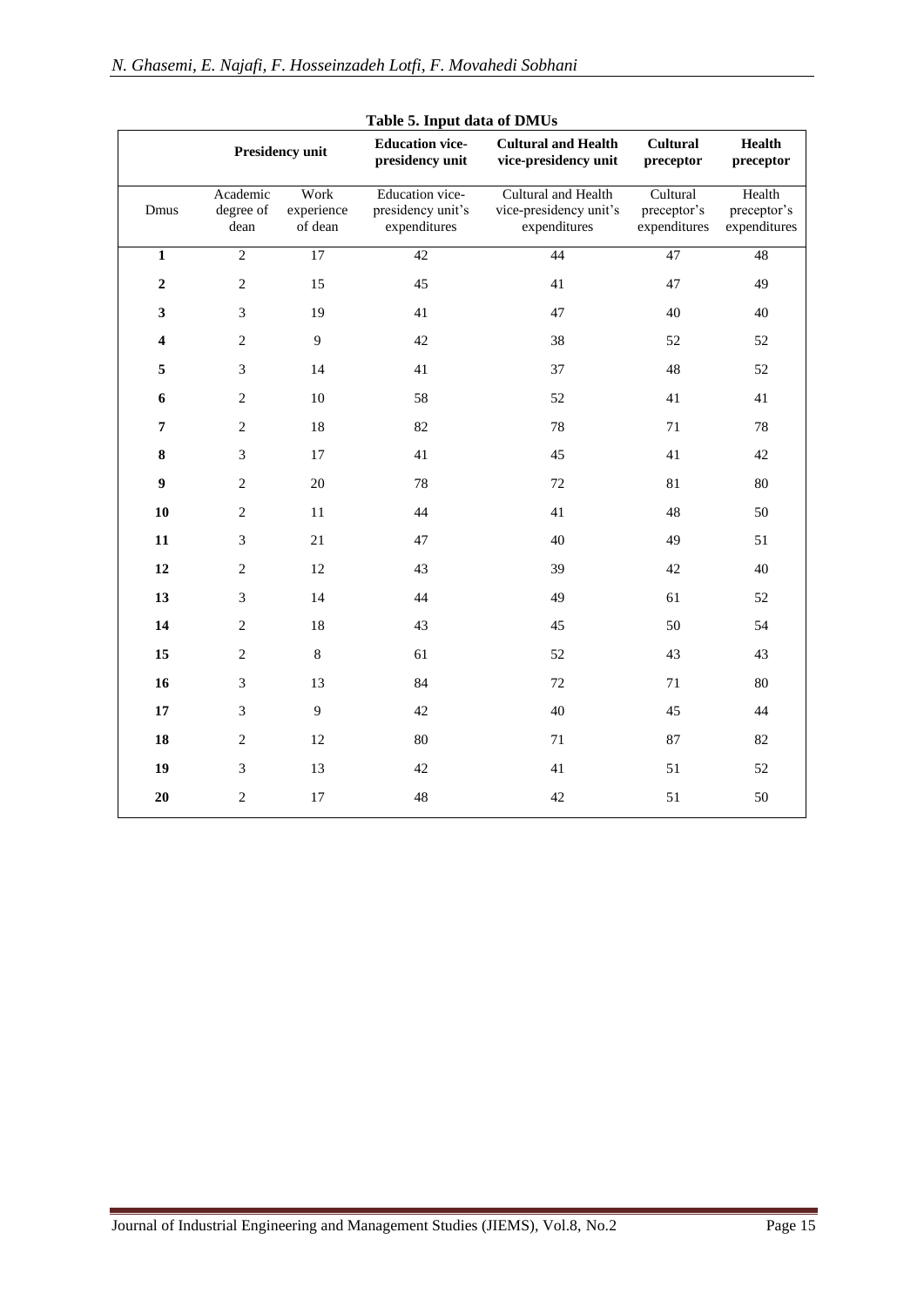<span id="page-14-0"></span>

|                         |                               | <b>Presidency unit</b>        | Table 5. Input data of DMUs<br><b>Education vice-</b><br>presidency unit | <b>Cultural and Health</b><br>vice-presidency unit            | <b>Cultural</b><br>preceptor            | <b>Health</b><br>preceptor            |
|-------------------------|-------------------------------|-------------------------------|--------------------------------------------------------------------------|---------------------------------------------------------------|-----------------------------------------|---------------------------------------|
| Dmus                    | Academic<br>degree of<br>dean | Work<br>experience<br>of dean | Education vice-<br>presidency unit's<br>expenditures                     | Cultural and Health<br>vice-presidency unit's<br>expenditures | Cultural<br>preceptor's<br>expenditures | Health<br>preceptor's<br>expenditures |
| $\overline{\mathbf{1}}$ | $\overline{2}$                | 17                            | $\overline{42}$                                                          | 44                                                            | 47                                      | 48                                    |
| $\mathbf{2}$            | $\overline{c}$                | 15                            | 45                                                                       | 41                                                            | 47                                      | 49                                    |
| 3                       | 3                             | 19                            | 41                                                                       | 47                                                            | 40                                      | 40                                    |
| $\overline{\mathbf{4}}$ | $\overline{2}$                | 9                             | 42                                                                       | 38                                                            | 52                                      | 52                                    |
| 5                       | 3                             | 14                            | 41                                                                       | 37                                                            | 48                                      | 52                                    |
| 6                       | $\mathbf{2}$                  | $10\,$                        | 58                                                                       | 52                                                            | 41                                      | 41                                    |
| 7                       | $\overline{2}$                | 18                            | 82                                                                       | 78                                                            | 71                                      | 78                                    |
| 8                       | 3                             | 17                            | 41                                                                       | 45                                                            | 41                                      | 42                                    |
| 9                       | $\mathbf{2}$                  | $20\,$                        | 78                                                                       | 72                                                            | 81                                      | $80\,$                                |
| 10                      | $\overline{2}$                | 11                            | 44                                                                       | 41                                                            | 48                                      | 50                                    |
| 11                      | 3                             | 21                            | 47                                                                       | 40                                                            | 49                                      | 51                                    |
| 12                      | $\mathbf{2}$                  | 12                            | 43                                                                       | 39                                                            | 42                                      | 40                                    |
| 13                      | 3                             | 14                            | 44                                                                       | 49                                                            | 61                                      | 52                                    |
| 14                      | $\overline{2}$                | 18                            | 43                                                                       | 45                                                            | 50                                      | 54                                    |
| 15                      | $\mathbf{2}$                  | $\,8\,$                       | 61                                                                       | 52                                                            | 43                                      | 43                                    |
| 16                      | 3                             | 13                            | 84                                                                       | 72                                                            | 71                                      | 80                                    |
| 17                      | 3                             | 9                             | 42                                                                       | 40                                                            | 45                                      | 44                                    |
| 18                      | $\mathbf{2}$                  | 12                            | $80\,$                                                                   | 71                                                            | 87                                      | 82                                    |
| 19                      | 3                             | 13                            | 42                                                                       | 41                                                            | 51                                      | 52                                    |
| 20                      | $\overline{2}$                | 17                            | 48                                                                       | 42                                                            | 51                                      | 50                                    |

**Table 5. Input data of DMUs**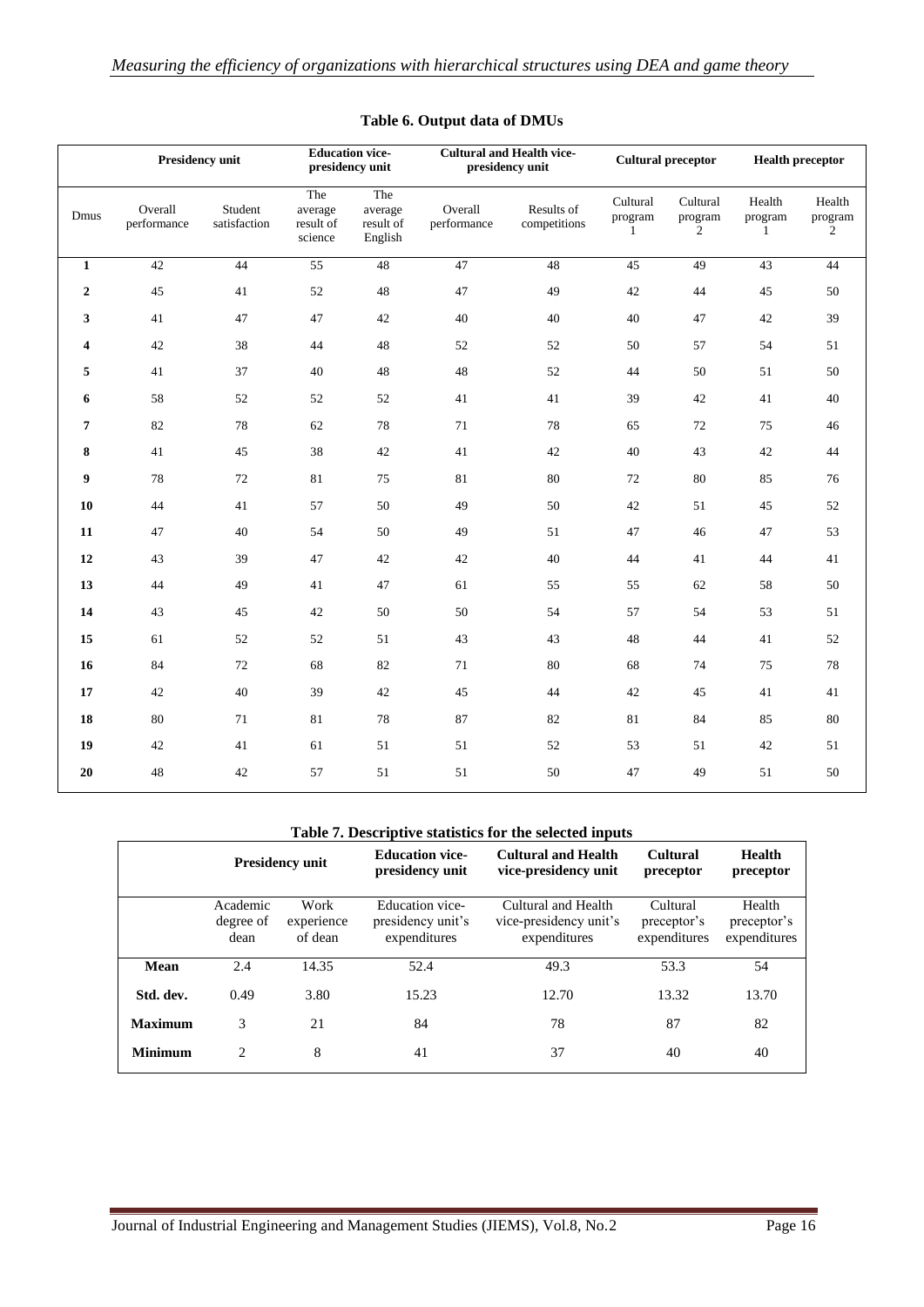|                         |                        | <b>Presidency unit</b>  | <b>Education vice-</b><br>presidency unit |                                        |                        | <b>Cultural and Health vice-</b><br>presidency unit |                                     | <b>Cultural preceptor</b>             | <b>Health preceptor</b>           |                                     |
|-------------------------|------------------------|-------------------------|-------------------------------------------|----------------------------------------|------------------------|-----------------------------------------------------|-------------------------------------|---------------------------------------|-----------------------------------|-------------------------------------|
| Dmus                    | Overall<br>performance | Student<br>satisfaction | The<br>average<br>result of<br>science    | The<br>average<br>result of<br>English | Overall<br>performance | Results of<br>competitions                          | Cultural<br>program<br>$\mathbf{1}$ | Cultural<br>program<br>$\overline{c}$ | Health<br>program<br>$\mathbf{1}$ | Health<br>program<br>$\overline{c}$ |
| $\mathbf{1}$            | 42                     | 44                      | 55                                        | 48                                     | 47                     | 48                                                  | 45                                  | 49                                    | 43                                | 44                                  |
| $\mathbf{2}$            | 45                     | 41                      | 52                                        | 48                                     | 47                     | 49                                                  | 42                                  | $44\,$                                | 45                                | 50                                  |
| 3                       | 41                     | 47                      | 47                                        | 42                                     | 40                     | 40                                                  | 40                                  | 47                                    | 42                                | 39                                  |
| $\overline{\mathbf{4}}$ | 42                     | 38                      | 44                                        | 48                                     | 52                     | 52                                                  | $50\,$                              | 57                                    | 54                                | 51                                  |
| 5                       | 41                     | 37                      | $40\,$                                    | 48                                     | $48\,$                 | 52                                                  | 44                                  | 50                                    | 51                                | 50                                  |
| 6                       | 58                     | 52                      | $52\,$                                    | $52\,$                                 | 41                     | 41                                                  | 39                                  | $42\,$                                | 41                                | 40                                  |
| 7                       | 82                     | 78                      | 62                                        | 78                                     | $71\,$                 | 78                                                  | 65                                  | 72                                    | 75                                | 46                                  |
| 8                       | 41                     | 45                      | 38                                        | $42\,$                                 | 41                     | 42                                                  | 40                                  | 43                                    | $42\,$                            | $44\,$                              |
| 9                       | 78                     | 72                      | 81                                        | 75                                     | 81                     | 80                                                  | 72                                  | 80                                    | 85                                | 76                                  |
| 10                      | 44                     | 41                      | 57                                        | 50                                     | 49                     | 50                                                  | $42\,$                              | 51                                    | 45                                | 52                                  |
| 11                      | 47                     | 40                      | 54                                        | 50                                     | 49                     | 51                                                  | 47                                  | 46                                    | 47                                | 53                                  |
| 12                      | 43                     | 39                      | 47                                        | 42                                     | 42                     | 40                                                  | 44                                  | 41                                    | 44                                | 41                                  |
| 13                      | 44                     | 49                      | 41                                        | $47\,$                                 | 61                     | 55                                                  | 55                                  | 62                                    | 58                                | $50\,$                              |
| 14                      | 43                     | 45                      | 42                                        | 50                                     | 50                     | 54                                                  | 57                                  | 54                                    | 53                                | 51                                  |
| 15                      | 61                     | 52                      | 52                                        | 51                                     | 43                     | 43                                                  | 48                                  | 44                                    | 41                                | 52                                  |
| 16                      | 84                     | 72                      | 68                                        | 82                                     | 71                     | 80                                                  | 68                                  | 74                                    | 75                                | 78                                  |
| 17                      | 42                     | 40                      | 39                                        | $42\,$                                 | 45                     | 44                                                  | $42\,$                              | 45                                    | 41                                | $41\,$                              |
| 18                      | 80                     | 71                      | 81                                        | 78                                     | 87                     | 82                                                  | 81                                  | 84                                    | 85                                | $80\,$                              |
| 19                      | 42                     | 41                      | 61                                        | 51                                     | 51                     | 52                                                  | 53                                  | 51                                    | 42                                | 51                                  |
| 20                      | 48                     | 42                      | 57                                        | 51                                     | 51                     | 50                                                  | 47                                  | 49                                    | 51                                | $50\,$                              |

#### **Table 6. Output data of DMUs**

#### **Table 7. Descriptive statistics for the selected inputs**

<span id="page-15-1"></span><span id="page-15-0"></span>

|                | <b>Presidency unit</b>        |                               | <b>Education vice-</b><br>presidency unit            | <b>Cultural and Health</b><br>vice-presidency unit            | Cultural<br>preceptor                   | Health<br>preceptor                   |
|----------------|-------------------------------|-------------------------------|------------------------------------------------------|---------------------------------------------------------------|-----------------------------------------|---------------------------------------|
|                | Academic<br>degree of<br>dean | Work<br>experience<br>of dean | Education vice-<br>presidency unit's<br>expenditures | Cultural and Health<br>vice-presidency unit's<br>expenditures | Cultural<br>preceptor's<br>expenditures | Health<br>preceptor's<br>expenditures |
| Mean           | 2.4                           | 14.35                         | 52.4                                                 | 49.3                                                          | 53.3                                    | 54                                    |
| Std. dev.      | 0.49                          | 3.80                          | 15.23                                                | 12.70                                                         | 13.32                                   | 13.70                                 |
| <b>Maximum</b> | 3                             | 21                            | 84                                                   | 78                                                            | 87                                      | 82                                    |
| <b>Minimum</b> | $\mathfrak{D}$<br>8           |                               | 41                                                   | 37                                                            | 40                                      | 40                                    |
|                |                               |                               |                                                      |                                                               |                                         |                                       |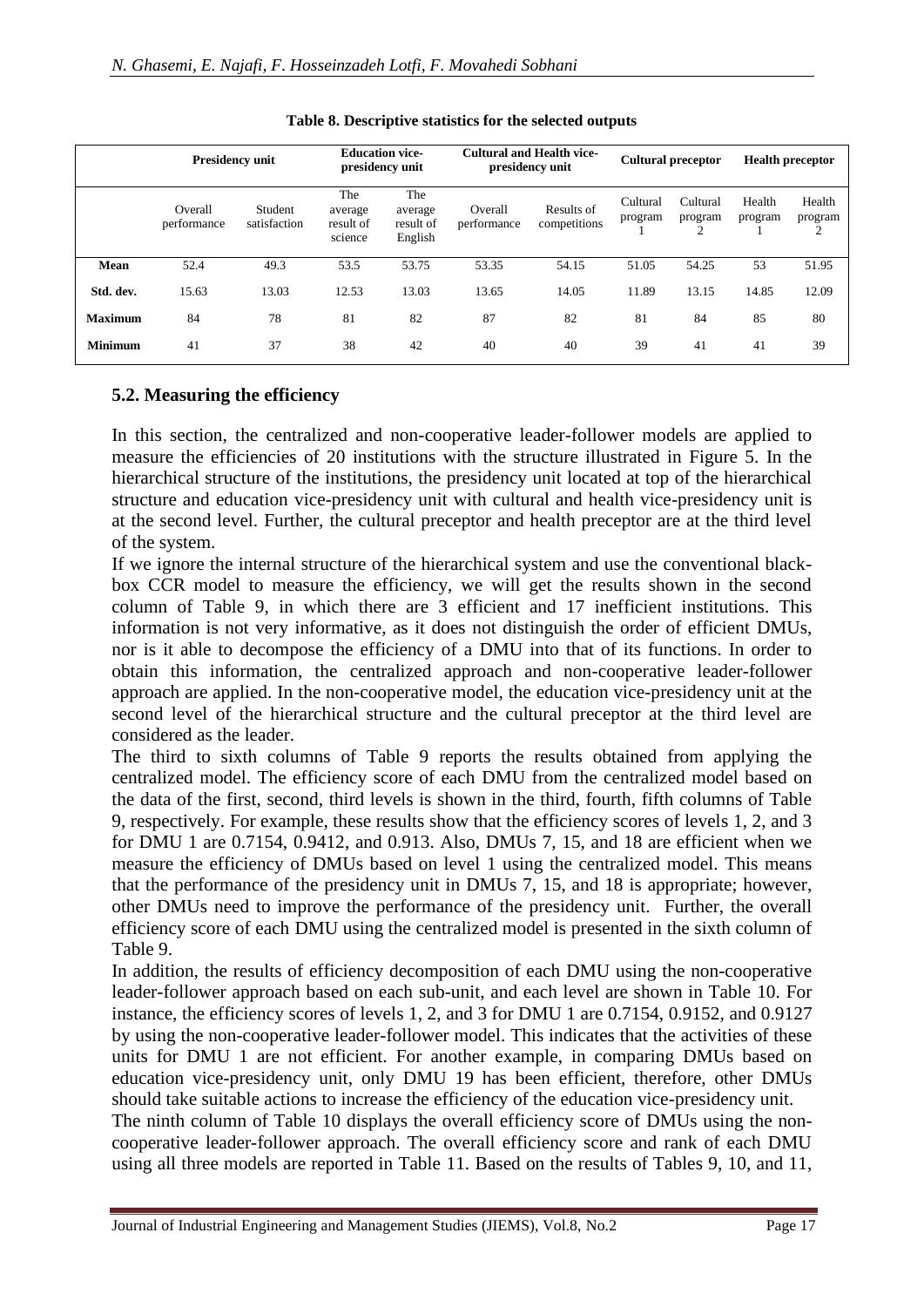|                | <b>Presidency unit</b> |                         | <b>Education vice-</b><br>presidency unit |                                        | <b>Cultural and Health vice-</b><br>presidency unit |                            | <b>Cultural preceptor</b> |                     | <b>Health preceptor</b> |                        |
|----------------|------------------------|-------------------------|-------------------------------------------|----------------------------------------|-----------------------------------------------------|----------------------------|---------------------------|---------------------|-------------------------|------------------------|
|                | Overall<br>performance | Student<br>satisfaction | The<br>average<br>result of<br>science    | The<br>average<br>result of<br>English | Overall<br>performance                              | Results of<br>competitions | Cultural<br>program       | Cultural<br>program | Health<br>program       | Health<br>program<br>∠ |
| Mean           | 52.4                   | 49.3                    | 53.5                                      | 53.75                                  | 53.35                                               | 54.15                      | 51.05                     | 54.25               | 53                      | 51.95                  |
| Std. dev.      | 15.63                  | 13.03                   | 12.53                                     | 13.03                                  | 13.65                                               | 14.05                      | 11.89                     | 13.15               | 14.85                   | 12.09                  |
| <b>Maximum</b> | 84                     | 78                      | 81                                        | 82                                     | 87                                                  | 82                         | 81                        | 84                  | 85                      | 80                     |
| <b>Minimum</b> | 41                     | 37                      | 38                                        | 42                                     | 40                                                  | 40                         | 39                        | 41                  | 41                      | 39                     |

#### **Table 8. Descriptive statistics for the selected outputs**

### **5.2. Measuring the efficiency**

In this section, the centralized and non-cooperative leader-follower models are applied to measure the efficiencies of 20 institutions with the structure illustrated in Figure [5.](#page-13-2) In the hierarchical structure of the institutions, the presidency unit located at top of the hierarchical structure and education vice-presidency unit with cultural and health vice-presidency unit is at the second level. Further, the cultural preceptor and health preceptor are at the third level of the system.

If we ignore the internal structure of the hierarchical system and use the conventional blackbox CCR model to measure the efficiency, we will get the results shown in the second column of Table [9,](#page-17-0) in which there are 3 efficient and 17 inefficient institutions. This information is not very informative, as it does not distinguish the order of efficient DMUs, nor is it able to decompose the efficiency of a DMU into that of its functions. In order to obtain this information, the centralized approach and non-cooperative leader-follower approach are applied. In the non-cooperative model, the education vice-presidency unit at the second level of the hierarchical structure and the cultural preceptor at the third level are considered as the leader.

The third to sixth columns of Table [9](#page-17-0) reports the results obtained from applying the centralized model. The efficiency score of each DMU from the centralized model based on the data of the first, second, third levels is shown in the third, fourth, fifth columns of Table [9,](#page-17-0) respectively. For example, these results show that the efficiency scores of levels 1, 2, and 3 for DMU 1 are 0.7154, 0.9412, and 0.913. Also, DMUs 7, 15, and 18 are efficient when we measure the efficiency of DMUs based on level 1 using the centralized model. This means that the performance of the presidency unit in DMUs 7, 15, and 18 is appropriate; however, other DMUs need to improve the performance of the presidency unit. Further, the overall efficiency score of each DMU using the centralized model is presented in the sixth column of Table [9.](#page-17-0)

In addition, the results of efficiency decomposition of each DMU using the non-cooperative leader-follower approach based on each sub-unit, and each level are shown in Table [10.](#page-19-0) For instance, the efficiency scores of levels 1, 2, and 3 for DMU 1 are 0.7154, 0.9152, and 0.9127 by using the non-cooperative leader-follower model. This indicates that the activities of these units for DMU 1 are not efficient. For another example, in comparing DMUs based on education vice-presidency unit, only DMU 19 has been efficient, therefore, other DMUs should take suitable actions to increase the efficiency of the education vice-presidency unit.

The ninth column of Table [10](#page-19-0) displays the overall efficiency score of DMUs using the noncooperative leader-follower approach. The overall efficiency score and rank of each DMU using all three models are reported in Table [11.](#page-19-0) Based on the results of Tables [9,](#page-17-0) [10,](#page-19-0) and [11,](#page-19-0)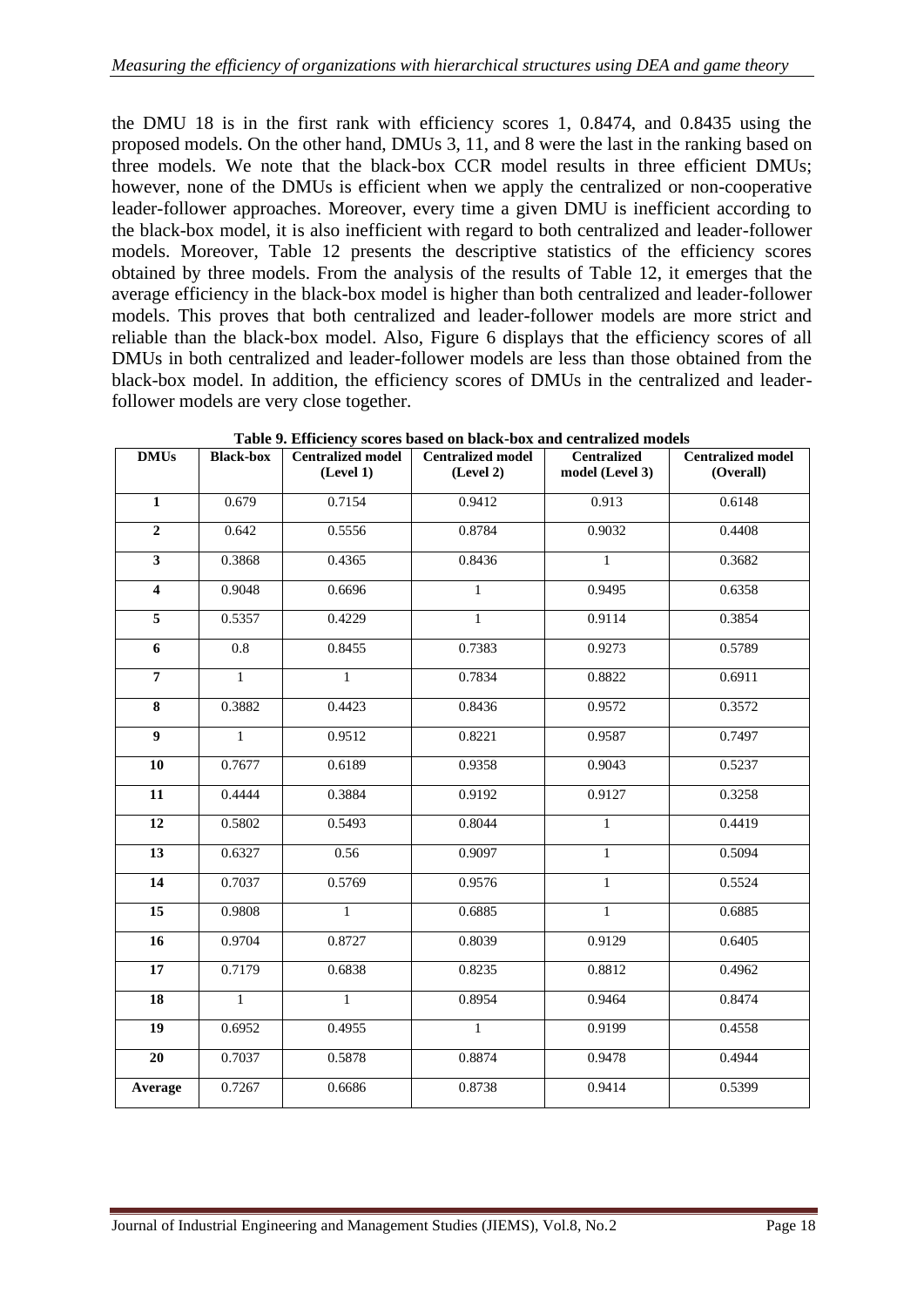the DMU 18 is in the first rank with efficiency scores 1, 0.8474, and 0.8435 using the proposed models. On the other hand, DMUs 3, 11, and 8 were the last in the ranking based on three models. We note that the black-box CCR model results in three efficient DMUs; however, none of the DMUs is efficient when we apply the centralized or non-cooperative leader-follower approaches. Moreover, every time a given DMU is inefficient according to the black-box model, it is also inefficient with regard to both centralized and leader-follower models. Moreover, Table [12](#page-19-1) presents the descriptive statistics of the efficiency scores obtained by three models. From the analysis of the results of Table [12,](#page-19-1) it emerges that the average efficiency in the black-box model is higher than both centralized and leader-follower models. This proves that both centralized and leader-follower models are more strict and reliable than the black-box model. Also, Figure [6](#page-20-1) displays that the efficiency scores of all DMUs in both centralized and leader-follower models are less than those obtained from the black-box model. In addition, the efficiency scores of DMUs in the centralized and leaderfollower models are very close together.

<span id="page-17-0"></span>

| <b>DMUs</b>             | <b>Black-box</b> | <b>Centralized model</b><br>(Level 1) | <b>Centralized model</b><br>(Level 2) | <b>Centralized</b><br>model (Level 3) | <b>Centralized model</b><br>(Overall) |
|-------------------------|------------------|---------------------------------------|---------------------------------------|---------------------------------------|---------------------------------------|
| $\mathbf{1}$            | 0.679            | 0.7154                                | 0.9412                                | 0.913                                 | 0.6148                                |
| $\boldsymbol{2}$        | 0.642            | 0.5556                                | 0.8784                                | 0.9032                                | 0.4408                                |
| $\overline{\mathbf{3}}$ | 0.3868           | 0.4365                                | 0.8436                                | $\mathbf{1}$                          | 0.3682                                |
| $\overline{\mathbf{4}}$ | 0.9048           | 0.6696                                | $\mathbf{1}$                          | 0.9495                                | 0.6358                                |
| $\overline{5}$          | 0.5357           | 0.4229                                | $\mathbf{1}$                          | 0.9114                                | 0.3854                                |
| 6                       | 0.8              | 0.8455                                | 0.7383                                | 0.9273                                | 0.5789                                |
| $\overline{7}$          | $\mathbf{1}$     | $\mathbf{1}$                          | 0.7834                                | 0.8822                                | 0.6911                                |
| 8                       | 0.3882           | 0.4423                                | 0.8436                                | 0.9572                                | 0.3572                                |
| $\boldsymbol{9}$        | $\mathbf{1}$     | 0.9512                                | 0.8221                                | 0.9587                                | 0.7497                                |
| 10                      | 0.7677           | 0.6189                                | 0.9358                                | 0.9043                                | 0.5237                                |
| 11                      | 0.4444           | 0.3884                                | 0.9192                                | 0.9127                                | 0.3258                                |
| 12                      | 0.5802           | 0.5493                                | 0.8044                                | $\mathbf{1}$                          | 0.4419                                |
| $\overline{13}$         | 0.6327           | 0.56                                  | 0.9097                                | $\overline{1}$                        | 0.5094                                |
| 14                      | 0.7037           | 0.5769                                | 0.9576                                | 1                                     | 0.5524                                |
| $\overline{15}$         | 0.9808           | $\mathbf{1}$                          | 0.6885                                | $\mathbf{1}$                          | 0.6885                                |
| $\overline{16}$         | 0.9704           | 0.8727                                | 0.8039                                | 0.9129                                | 0.6405                                |
| $\overline{17}$         | 0.7179           | 0.6838                                | 0.8235                                | 0.8812                                | 0.4962                                |
| 18                      | $\mathbf{1}$     | $\mathbf{1}$                          | 0.8954                                | 0.9464                                | 0.8474                                |
| 19                      | 0.6952           | 0.4955                                | $\mathbf{1}$                          | 0.9199                                | 0.4558                                |
| 20                      | 0.7037           | 0.5878                                | 0.8874                                | 0.9478                                | 0.4944                                |
| Average                 | 0.7267           | 0.6686                                | 0.8738                                | 0.9414                                | 0.5399                                |

**Table 9. Efficiency scores based on black-box and centralized models**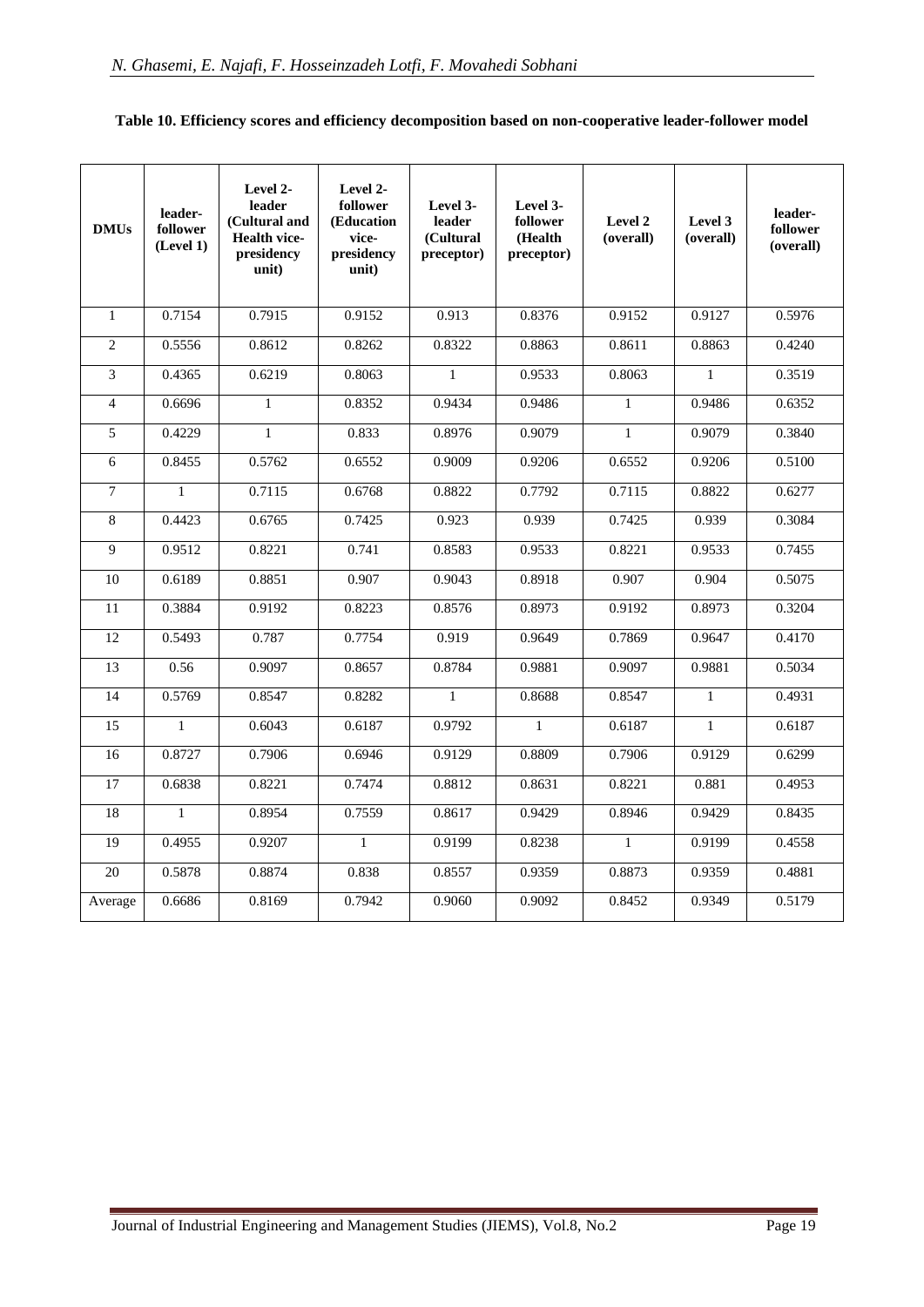| <b>DMUs</b>     | leader-<br>follower<br>(Level 1) | Level 2-<br>leader<br>(Cultural and<br><b>Health vice-</b><br>presidency<br>unit) | Level 2-<br>follower<br>(Education<br>vice-<br>presidency<br>unit) | Level 3-<br>leader<br>(Cultural<br>preceptor) | Level 3-<br>follower<br>(Health<br>preceptor) | Level 2<br>(overall) | Level 3<br>(overall) | leader-<br>follower<br>(overall) |
|-----------------|----------------------------------|-----------------------------------------------------------------------------------|--------------------------------------------------------------------|-----------------------------------------------|-----------------------------------------------|----------------------|----------------------|----------------------------------|
| $\mathbf{1}$    | 0.7154                           | 0.7915                                                                            | 0.9152                                                             | 0.913                                         | 0.8376                                        | 0.9152               | 0.9127               | 0.5976                           |
| $\overline{2}$  | 0.5556                           | 0.8612                                                                            | 0.8262                                                             | 0.8322                                        | 0.8863                                        | 0.8611               | 0.8863               | 0.4240                           |
| 3               | 0.4365                           | 0.6219                                                                            | 0.8063                                                             | $\mathbf{1}$                                  | 0.9533                                        | 0.8063               | $\mathbf{1}$         | 0.3519                           |
| $\overline{4}$  | 0.6696                           | $\mathbf{1}$                                                                      | 0.8352                                                             | 0.9434                                        | 0.9486                                        | $\mathbf{1}$         | 0.9486               | 0.6352                           |
| 5               | 0.4229                           | $\mathbf{1}$                                                                      | 0.833                                                              | 0.8976                                        | 0.9079                                        | $\mathbf{1}$         | 0.9079               | 0.3840                           |
| $6\,$           | 0.8455                           | 0.5762                                                                            | 0.6552                                                             | 0.9009                                        | 0.9206                                        | 0.6552               | 0.9206               | 0.5100                           |
| $\overline{7}$  | $\mathbf{1}$                     | 0.7115                                                                            | 0.6768                                                             | 0.8822                                        | 0.7792                                        | 0.7115               | 0.8822               | 0.6277                           |
| 8               | 0.4423                           | 0.6765                                                                            | 0.7425                                                             | 0.923                                         | 0.939                                         | 0.7425               | 0.939                | 0.3084                           |
| 9               | 0.9512                           | 0.8221                                                                            | 0.741                                                              | 0.8583                                        | 0.9533                                        | 0.8221               | 0.9533               | 0.7455                           |
| 10              | 0.6189                           | 0.8851                                                                            | 0.907                                                              | 0.9043                                        | 0.8918                                        | 0.907                | 0.904                | 0.5075                           |
| 11              | 0.3884                           | 0.9192                                                                            | 0.8223                                                             | 0.8576                                        | 0.8973                                        | 0.9192               | 0.8973               | 0.3204                           |
| 12              | 0.5493                           | 0.787                                                                             | 0.7754                                                             | 0.919                                         | 0.9649                                        | 0.7869               | 0.9647               | 0.4170                           |
| 13              | 0.56                             | 0.9097                                                                            | 0.8657                                                             | 0.8784                                        | 0.9881                                        | 0.9097               | 0.9881               | 0.5034                           |
| 14              | 0.5769                           | 0.8547                                                                            | 0.8282                                                             | $\mathbf{1}$                                  | 0.8688                                        | 0.8547               | $\mathbf{1}$         | 0.4931                           |
| 15              | $\mathbf{1}$                     | 0.6043                                                                            | 0.6187                                                             | 0.9792                                        | $\mathbf{1}$                                  | 0.6187               | $\mathbf{1}$         | 0.6187                           |
| 16              | 0.8727                           | 0.7906                                                                            | 0.6946                                                             | 0.9129                                        | 0.8809                                        | 0.7906               | 0.9129               | 0.6299                           |
| 17              | 0.6838                           | 0.8221                                                                            | 0.7474                                                             | 0.8812                                        | 0.8631                                        | 0.8221               | 0.881                | 0.4953                           |
| $\overline{18}$ | $\mathbf{1}$                     | 0.8954                                                                            | 0.7559                                                             | 0.8617                                        | 0.9429                                        | 0.8946               | 0.9429               | 0.8435                           |
| $\overline{19}$ | 0.4955                           | 0.9207                                                                            | $\mathbf{1}$                                                       | 0.9199                                        | 0.8238                                        | $\mathbf{1}$         | 0.9199               | 0.4558                           |
| 20              | 0.5878                           | 0.8874                                                                            | 0.838                                                              | 0.8557                                        | 0.9359                                        | 0.8873               | 0.9359               | 0.4881                           |
| Average         | 0.6686                           | 0.8169                                                                            | 0.7942                                                             | 0.9060                                        | 0.9092                                        | 0.8452               | 0.9349               | 0.5179                           |

#### **Table 10. Efficiency scores and efficiency decomposition based on non-cooperative leader-follower model**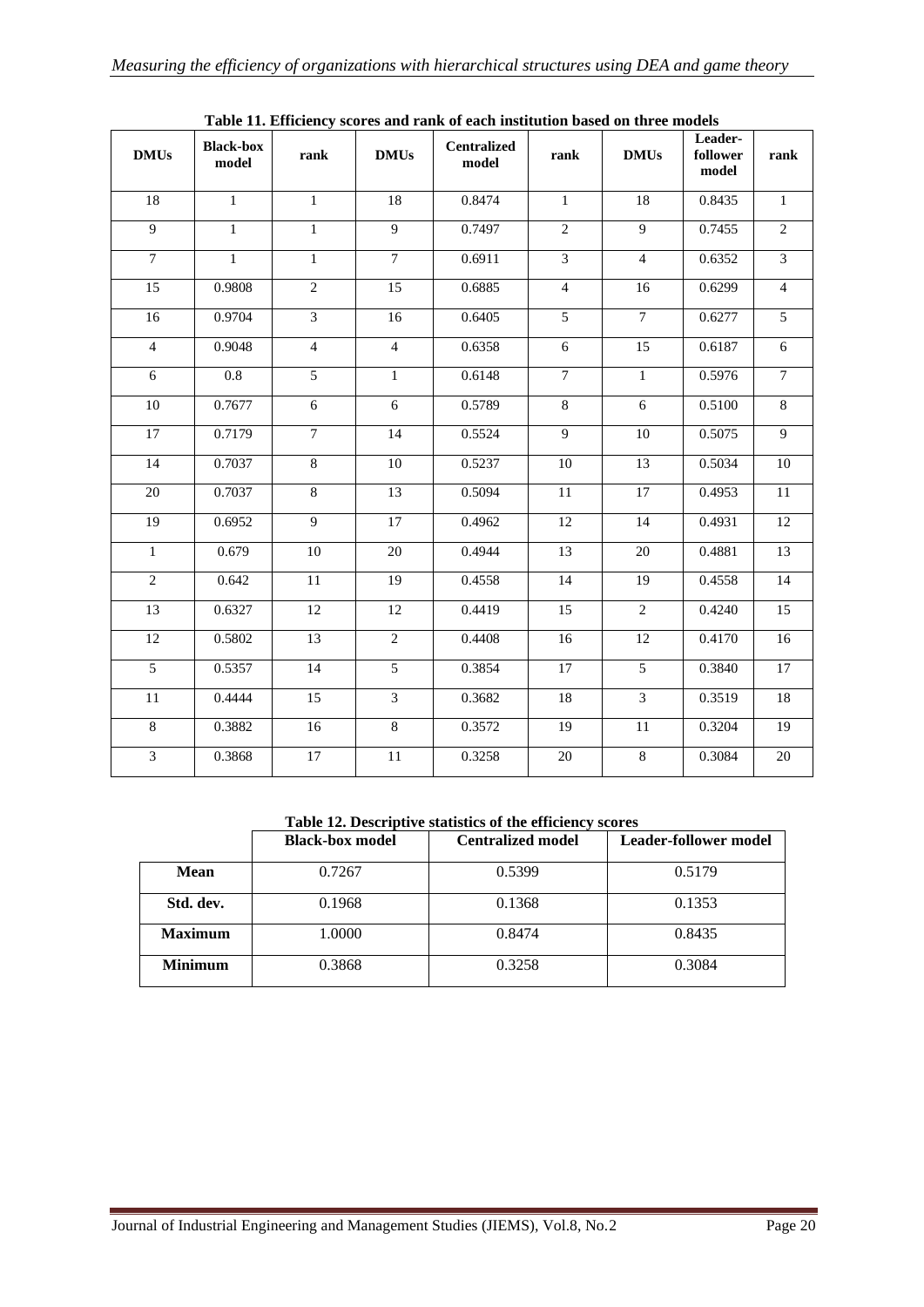<span id="page-19-0"></span>

| $\mathbf{DMUs}$ | <b>Black-box</b><br>model | rank            | <b>DMUs</b>    | rasiv 11, Ennerency scores and raint or caen mistration sasca on an ce<br><b>Centralized</b><br>model | rank            | <b>DMUs</b>     | Leader-<br>follower<br>model | rank            |
|-----------------|---------------------------|-----------------|----------------|-------------------------------------------------------------------------------------------------------|-----------------|-----------------|------------------------------|-----------------|
| $\overline{18}$ | $\overline{1}$            | $\overline{1}$  | 18             | 0.8474                                                                                                | $\overline{1}$  | $\overline{18}$ | 0.8435                       | $\overline{1}$  |
| $\overline{9}$  | $\mathbf{1}$              | $\mathbf{1}$    | $\overline{9}$ | 0.7497                                                                                                | $\overline{2}$  | $\overline{9}$  | 0.7455                       | $\overline{2}$  |
| $\overline{7}$  | $\mathbf{1}$              | $\mathbf{1}$    | $\overline{7}$ | 0.6911                                                                                                | $\overline{3}$  | $\overline{4}$  | 0.6352                       | $\overline{3}$  |
| 15              | 0.9808                    | $\overline{2}$  | 15             | 0.6885                                                                                                | $\overline{4}$  | 16              | 0.6299                       | $\overline{4}$  |
| $\overline{16}$ | 0.9704                    | $\overline{3}$  | 16             | 0.6405                                                                                                | $\overline{5}$  | $\tau$          | 0.6277                       | 5               |
| $\overline{4}$  | 0.9048                    | $\overline{4}$  | $\overline{4}$ | 0.6358                                                                                                | $6\,$           | $\overline{15}$ | 0.6187                       | $\sqrt{6}$      |
| 6               | $\overline{0.8}$          | $\overline{5}$  | $\mathbf{1}$   | 0.6148                                                                                                | $\overline{7}$  | $\mathbf{1}$    | 0.5976                       | $\overline{7}$  |
| $\overline{10}$ | 0.7677                    | 6               | 6              | 0.5789                                                                                                | $\overline{8}$  | 6               | 0.5100                       | $\sqrt{8}$      |
| $\overline{17}$ | 0.7179                    | $\tau$          | 14             | 0.5524                                                                                                | 9               | 10              | 0.5075                       | $\overline{9}$  |
| $\overline{14}$ | 0.7037                    | $\overline{8}$  | 10             | 0.5237                                                                                                | 10              | $\overline{13}$ | 0.5034                       | 10              |
| 20              | 0.7037                    | $\overline{8}$  | 13             | 0.5094                                                                                                | 11              | 17              | 0.4953                       | 11              |
| $\overline{19}$ | 0.6952                    | $\overline{9}$  | 17             | 0.4962                                                                                                | $\overline{12}$ | 14              | 0.4931                       | $\overline{12}$ |
| $\overline{1}$  | 0.679                     | 10              | 20             | 0.4944                                                                                                | $\overline{13}$ | 20              | 0.4881                       | $\overline{13}$ |
| 2               | 0.642                     | 11              | 19             | 0.4558                                                                                                | 14              | 19              | 0.4558                       | 14              |
| $\overline{13}$ | 0.6327                    | 12              | 12             | 0.4419                                                                                                | $\overline{15}$ | $\overline{2}$  | 0.4240                       | 15              |
| $\overline{12}$ | 0.5802                    | 13              | $\overline{2}$ | 0.4408                                                                                                | 16              | 12              | 0.4170                       | $\overline{16}$ |
| $\overline{5}$  | 0.5357                    | 14              | $\overline{5}$ | 0.3854                                                                                                | 17              | $\overline{5}$  | 0.3840                       | $17\,$          |
| 11              | 0.4444                    | $\overline{15}$ | $\overline{3}$ | 0.3682                                                                                                | 18              | $\overline{3}$  | 0.3519                       | $\overline{18}$ |
| $\overline{8}$  | 0.3882                    | 16              | $\overline{8}$ | 0.3572                                                                                                | 19              | 11              | 0.3204                       | $\overline{19}$ |
| 3               | 0.3868                    | 17              | 11             | 0.3258                                                                                                | 20              | 8               | 0.3084                       | 20              |

**Table 11. Efficiency scores and rank of each institution based on three models**

**Table 12. Descriptive statistics of the efficiency scores**

<span id="page-19-1"></span>

|                | <b>Black-box model</b> | <b>Centralized model</b> | <b>Leader-follower model</b> |
|----------------|------------------------|--------------------------|------------------------------|
| <b>Mean</b>    | 0.7267                 | 0.5399                   | 0.5179                       |
| Std. dev.      | 0.1968                 | 0.1368                   | 0.1353                       |
| <b>Maximum</b> | 1.0000                 | 0.8474                   | 0.8435                       |
| <b>Minimum</b> | 0.3868                 | 0.3258                   | 0.3084                       |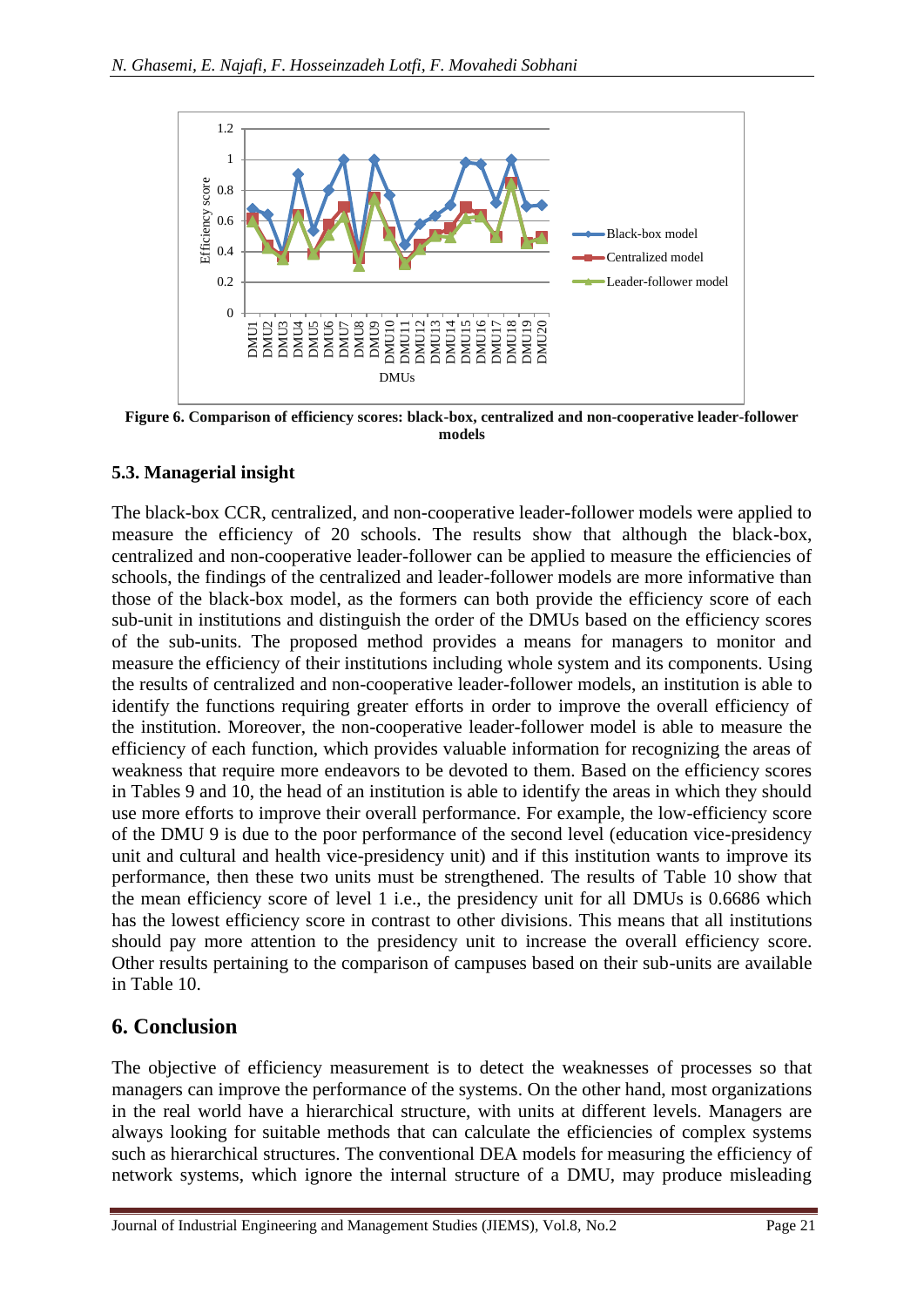<span id="page-20-1"></span>

**Figure 6. Comparison of efficiency scores: black-box, centralized and non-cooperative leader-follower models**

### <span id="page-20-0"></span>**5.3. Managerial insight**

The black-box CCR, centralized, and non-cooperative leader-follower models were applied to measure the efficiency of 20 schools. The results show that although the black-box, centralized and non-cooperative leader-follower can be applied to measure the efficiencies of schools, the findings of the centralized and leader-follower models are more informative than those of the black-box model, as the formers can both provide the efficiency score of each sub-unit in institutions and distinguish the order of the DMUs based on the efficiency scores of the sub-units. The proposed method provides a means for managers to monitor and measure the efficiency of their institutions including whole system and its components. Using the results of centralized and non-cooperative leader-follower models, an institution is able to identify the functions requiring greater efforts in order to improve the overall efficiency of the institution. Moreover, the non-cooperative leader-follower model is able to measure the efficiency of each function, which provides valuable information for recognizing the areas of weakness that require more endeavors to be devoted to them. Based on the efficiency scores in Tables [9](#page-17-0) and [10,](#page-19-0) the head of an institution is able to identify the areas in which they should use more efforts to improve their overall performance. For example, the low-efficiency score of the DMU 9 is due to the poor performance of the second level (education vice-presidency unit and cultural and health vice-presidency unit) and if this institution wants to improve its performance, then these two units must be strengthened. The results of Table [10](#page-19-0) show that the mean efficiency score of level 1 i.e., the presidency unit for all DMUs is 0.6686 which has the lowest efficiency score in contrast to other divisions. This means that all institutions should pay more attention to the presidency unit to increase the overall efficiency score. Other results pertaining to the comparison of campuses based on their sub-units are available in Table [10.](#page-19-0)

## **6. Conclusion**

The objective of efficiency measurement is to detect the weaknesses of processes so that managers can improve the performance of the systems. On the other hand, most organizations in the real world have a hierarchical structure, with units at different levels. Managers are always looking for suitable methods that can calculate the efficiencies of complex systems such as hierarchical structures. The conventional DEA models for measuring the efficiency of network systems, which ignore the internal structure of a DMU, may produce misleading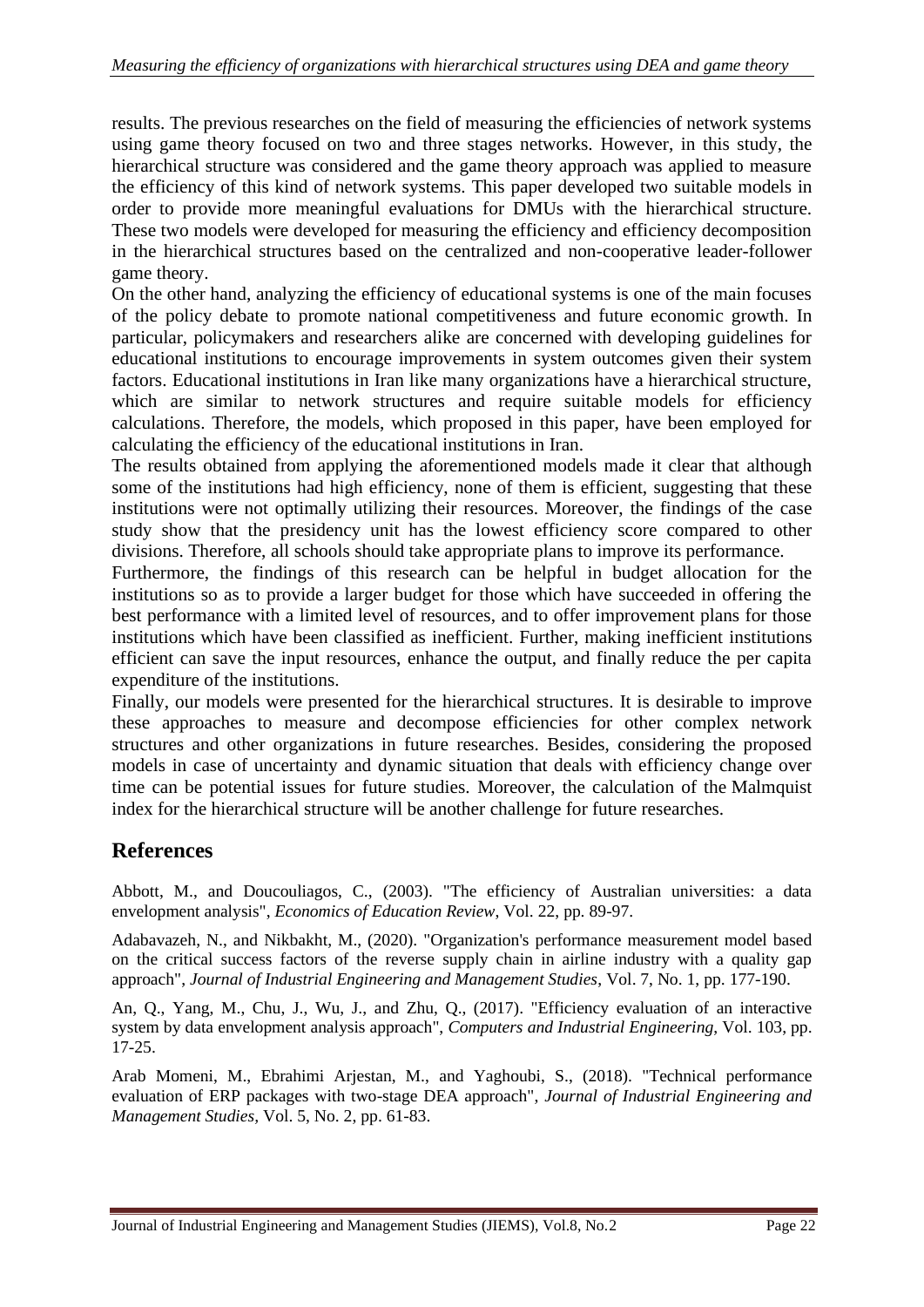results. The previous researches on the field of measuring the efficiencies of network systems using game theory focused on two and three stages networks. However, in this study, the hierarchical structure was considered and the game theory approach was applied to measure the efficiency of this kind of network systems. This paper developed two suitable models in order to provide more meaningful evaluations for DMUs with the hierarchical structure. These two models were developed for measuring the efficiency and efficiency decomposition in the hierarchical structures based on the centralized and non-cooperative leader-follower game theory.

On the other hand, analyzing the efficiency of educational systems is one of the main focuses of the policy debate to promote national competitiveness and future economic growth. In particular, policymakers and researchers alike are concerned with developing guidelines for educational institutions to encourage improvements in system outcomes given their system factors. Educational institutions in Iran like many organizations have a hierarchical structure, which are similar to network structures and require suitable models for efficiency calculations. Therefore, the models, which proposed in this paper, have been employed for calculating the efficiency of the educational institutions in Iran.

The results obtained from applying the aforementioned models made it clear that although some of the institutions had high efficiency, none of them is efficient, suggesting that these institutions were not optimally utilizing their resources. Moreover, the findings of the case study show that the presidency unit has the lowest efficiency score compared to other divisions. Therefore, all schools should take appropriate plans to improve its performance.

Furthermore, the findings of this research can be helpful in budget allocation for the institutions so as to provide a larger budget for those which have succeeded in offering the best performance with a limited level of resources, and to offer improvement plans for those institutions which have been classified as inefficient. Further, making inefficient institutions efficient can save the input resources, enhance the output, and finally reduce the per capita expenditure of the institutions.

Finally, our models were presented for the hierarchical structures. It is desirable to improve these approaches to measure and decompose efficiencies for other complex network structures and other organizations in future researches. Besides, considering the proposed models in case of uncertainty and dynamic situation that deals with efficiency change over time can be potential issues for future studies. Moreover, the calculation of the Malmquist index for the hierarchical structure will be another challenge for future researches.

# **References**

Abbott, M., and Doucouliagos, C., (2003). "The efficiency of Australian universities: a data envelopment analysis", *Economics of Education Review*, Vol. 22, pp. 89-97.

Adabavazeh, N., and Nikbakht, M., (2020). "Organization's performance measurement model based on the critical success factors of the reverse supply chain in airline industry with a quality gap approach", *Journal of Industrial Engineering and Management Studies*, Vol. 7, No. 1, pp. 177-190.

An, Q., Yang, M., Chu, J., Wu, J., and Zhu, Q., (2017). "Efficiency evaluation of an interactive system by data envelopment analysis approach", *Computers and Industrial Engineering*, Vol. 103, pp. 17-25.

Arab Momeni, M., Ebrahimi Arjestan, M., and Yaghoubi, S., (2018). "Technical performance evaluation of ERP packages with two-stage DEA approach", *Journal of Industrial Engineering and Management Studies,* Vol. 5, No. 2, pp. 61-83.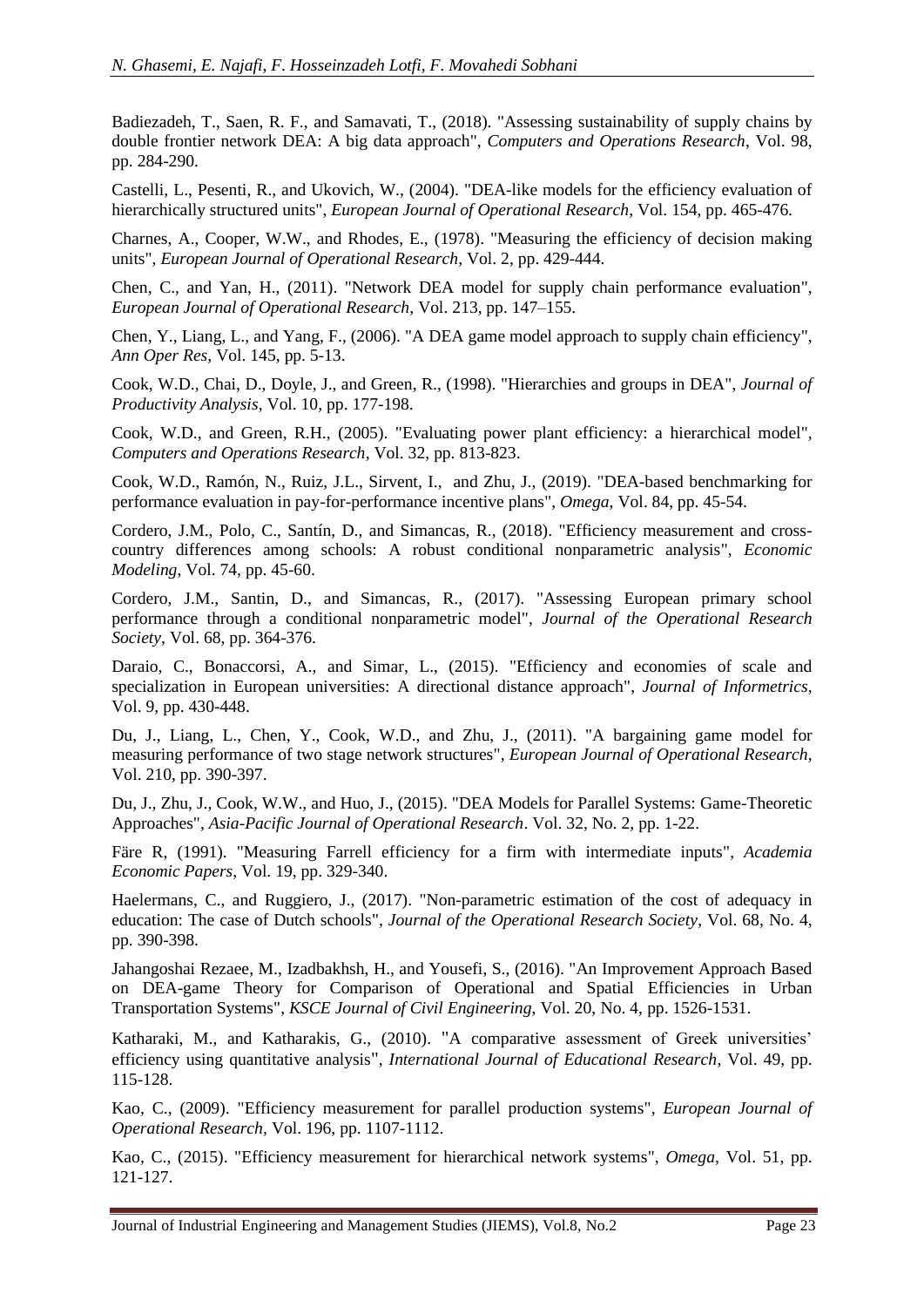Badiezadeh, T., Saen, R. F., and Samavati, T., (2018). "Assessing sustainability of supply chains by double frontier network DEA: A big data approach", *Computers and Operations Research*, Vol. 98, pp. 284-290.

Castelli, L., Pesenti, R., and Ukovich, W., (2004). "DEA-like models for the efficiency evaluation of hierarchically structured units", *European Journal of Operational Research*, Vol. 154, pp. 465-476.

Charnes, A., Cooper, W.W., and Rhodes, E., (1978). "Measuring the efficiency of decision making units", *European Journal of Operational Research*, Vol. 2, pp. 429-444.

Chen, C., and Yan, H., (2011). "Network DEA model for supply chain performance evaluation", *European Journal of Operational Research*, Vol. 213, pp. 147–155.

Chen, Y., Liang, L., and Yang, F., (2006). "A DEA game model approach to supply chain efficiency", *Ann Oper Res*, Vol. 145, pp. 5-13.

Cook, W.D., Chai, D., Doyle, J., and Green, R., (1998). "Hierarchies and groups in DEA", *Journal of Productivity Analysis*, Vol. 10, pp. 177-198.

Cook, W.D., and Green, R.H., (2005). "Evaluating power plant efficiency: a hierarchical model", *Computers and Operations Research,* Vol. 32, pp. 813-823.

[Cook, W.D.](https://www.sciencedirect.com/science/article/pii/S0305048317311672#!), [Ramón, N.](https://www.sciencedirect.com/science/article/pii/S0305048317311672#!), [Ruiz, J.L.](https://www.sciencedirect.com/science/article/pii/S0305048317311672#!), [Sirvent, I.](https://www.sciencedirect.com/science/article/pii/S0305048317311672#!), [and Zhu,](https://www.sciencedirect.com/science/article/pii/S0305048317311672#!) J., (2019). "DEA-based benchmarking for performance evaluation in pay-for-performance incentive plans", *[Omega](https://www.sciencedirect.com/science/journal/03050483)*, Vol. [84,](https://www.sciencedirect.com/science/journal/03050483/84/supp/C) pp. 45-54.

Cordero, J.M., Polo, C., Santín, D., and Simancas, R., (2018). "Efficiency measurement and crosscountry differences among schools: A robust conditional nonparametric analysis", *Economic Modeling*, Vol. 74, pp. 45-60.

Cordero, J.M., Santin, D., and Simancas, R., (2017). "Assessing European primary school performance through a conditional nonparametric model", *Journal of the Operational Research Society*, Vol. 68, pp. 364-376.

Daraio, C., Bonaccorsi, A., and Simar, L., (2015). "Efficiency and economies of scale and specialization in European universities: A directional distance approach", *Journal of Informetrics*, Vol. 9, pp. 430-448.

Du, J., Liang, L., Chen, Y., Cook, W.D., and Zhu, J., (2011). "A bargaining game model for measuring performance of two stage network structures", *European Journal of Operational Research,* Vol. 210, pp. 390-397.

Du, J., Zhu, J., Cook, W.W., and Huo, J., (2015). "DEA Models for Parallel Systems: Game-Theoretic Approaches", *Asia-Pacific Journal of Operational Research*. Vol. 32, No. 2, pp. 1-22.

Färe R, (1991). "Measuring Farrell efficiency for a firm with intermediate inputs", *Academia Economic Papers*, Vol. 19, pp. 329-340.

Haelermans, C., and Ruggiero, J., (2017). "Non-parametric estimation of the cost of adequacy in education: The case of Dutch schools", *Journal of the Operational Research Society*, Vol. 68, N[o.](https://link.springer.com/journal/500/22/22/page/1) 4, pp. 390-398.

Jahangoshai Rezaee, M., Izadbakhsh, H., and Yousefi, S., (2016). "An Improvement Approach Based on DEA-game Theory for Comparison of Operational and Spatial Efficiencies in Urban Transportation Systems", *KSCE Journal of Civil Engineering*, Vol. 20, No[.](https://link.springer.com/journal/500/22/22/page/1) 4, pp. 1526-1531.

Katharaki, M., and Katharakis, G., (2010). "A comparative assessment of Greek universities' efficiency using quantitative analysis", *International Journal of Educational Research*, Vol. 49, pp. 115-128.

Kao, C., (2009). "Efficiency measurement for parallel production systems", *European Journal of Operational Research,* Vol. 196, pp. 1107-1112.

Kao, C., (2015). "Efficiency measurement for hierarchical network systems", *Omega*, Vol. 51, pp. 121-127.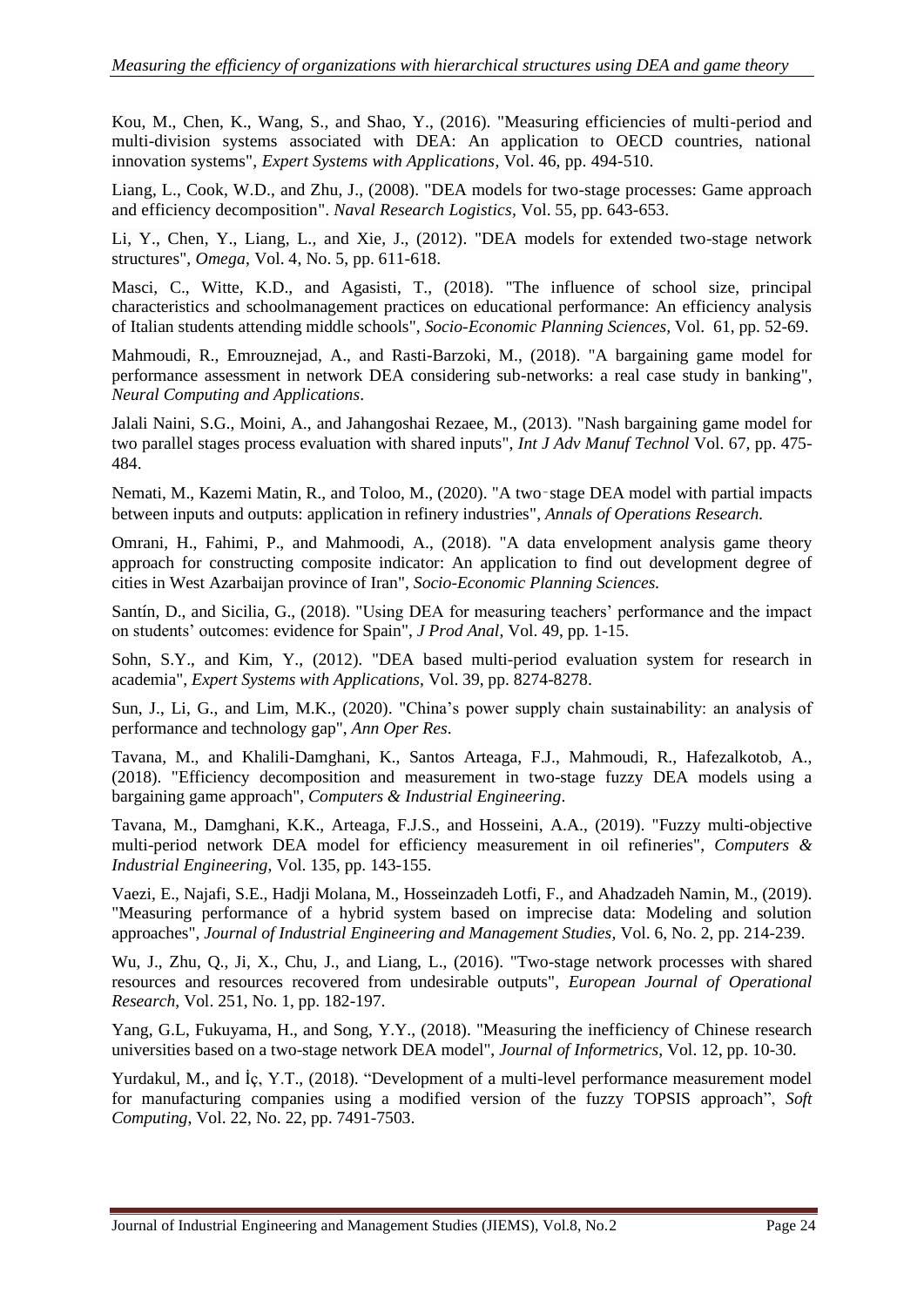Kou, M., Chen, K., Wang, S., and Shao, Y., (2016). "Measuring efficiencies of multi-period and multi-division systems associated with DEA: An application to OECD countries, national innovation systems", *Expert Systems with Applications*, Vol. 46, pp. 494-510.

Liang, L., Cook, W.D., and Zhu, J., (2008). "DEA models for two-stage processes: Game approach and efficiency decomposition". *Naval Research Logistics,* Vol. 55, pp. 643-653.

Li, Y., Chen, Y., Liang, L., and Xie, J., (2012). "DEA models for extended two-stage network structures", *Omega*, Vol. 4, No[.](https://link.springer.com/journal/500/22/22/page/1) 5, pp. 611-618.

Masci, C., Witte, K.D., and Agasisti, T., (2018). "The influence of school size, principal characteristics and schoolmanagement practices on educational performance: An efficiency analysis of Italian students attending middle schools", *Socio-Economic Planning Sciences,* Vol. 61, pp. 52-69.

Mahmoudi, R., Emrouznejad, A., and Rasti-Barzoki, M., (2018). "A bargaining game model for performance assessment in network DEA considering sub-networks: a real case study in banking", *Neural Computing and Applications*.

Jalali Naini, S.G., Moini, A., and Jahangoshai Rezaee, M., (2013). "Nash bargaining game model for two parallel stages process evaluation with shared inputs", *Int J Adv Manuf Technol* Vol. 67, pp. 475- 484.

Nemati, M., Kazemi Matin, R., and Toloo, M., (2020). "A two‑stage DEA model with partial impacts between inputs and outputs: application in refinery industries", *Annals of Operations Research.*

Omrani, H., Fahimi, P., and Mahmoodi, A., (2018). "A data envelopment analysis game theory approach for constructing composite indicator: An application to find out development degree of cities in West Azarbaijan province of Iran", *Socio-Economic Planning Sciences.*

Santín, D., and Sicilia, G., (2018). "Using DEA for measuring teachers' performance and the impact on students' outcomes: evidence for Spain", *J Prod Anal*, Vol. 49, pp. 1-15.

Sohn, S.Y., and Kim, Y., (2012). "DEA based multi-period evaluation system for research in academia", *Expert Systems with Applications*, Vol. 39, pp. 8274-8278.

Sun, J., Li, G., and Lim, M.K., (2020). "China's power supply chain sustainability: an analysis of performance and technology gap", *Ann Oper Res*.

Tavana, M., and Khalili-Damghani, K., Santos Arteaga, F.J., Mahmoudi, R., Hafezalkotob, A., (2018). "Efficiency decomposition and measurement in two-stage fuzzy DEA models using a bargaining game approach", *Computers & Industrial Engineering*.

Tavana, M., Damghani, K.K., Arteaga, F.J.S., and Hosseini, A.A., (2019). "Fuzzy multi-objective multi-period network DEA model for efficiency measurement in oil refineries", *Computers & Industrial Engineering*, Vol. [135,](https://www.sciencedirect.com/science/journal/03608352/135/supp/C) pp. 143-155.

Vaezi, E., Najafi, S.E., Hadji Molana, M., Hosseinzadeh Lotfi, F., and Ahadzadeh Namin, M., (2019). "Measuring performance of a hybrid system based on imprecise data: Modeling and solution approaches", *Journal of Industrial Engineering and Management Studies,* Vol. 6, No. 2, pp. 214-239.

Wu, J., Zhu, Q., Ji, X., Chu, J., and Liang, L., (2016). "Two-stage network processes with shared resources and resources recovered from undesirable outputs", *European Journal of Operational Research*, Vol. 251, No. 1, pp. 182-197.

Yang, G.L, Fukuyama, H., and Song, Y.Y., (2018). "Measuring the inefficiency of Chinese research universities based on a two-stage network DEA model", *Journal of Informetrics,* Vol. 12, pp. 10-30.

Yurdakul, M., and İç, Y.T., (2018). "Development of a multi-level performance measurement model for manufacturing companies using a modified version of the fuzzy TOPSIS approach", *[Soft](https://link.springer.com/journal/500)  [Computing](https://link.springer.com/journal/500)*, Vol. 22, No. [22,](https://link.springer.com/journal/500/22/22/page/1) pp. 7491-7503.